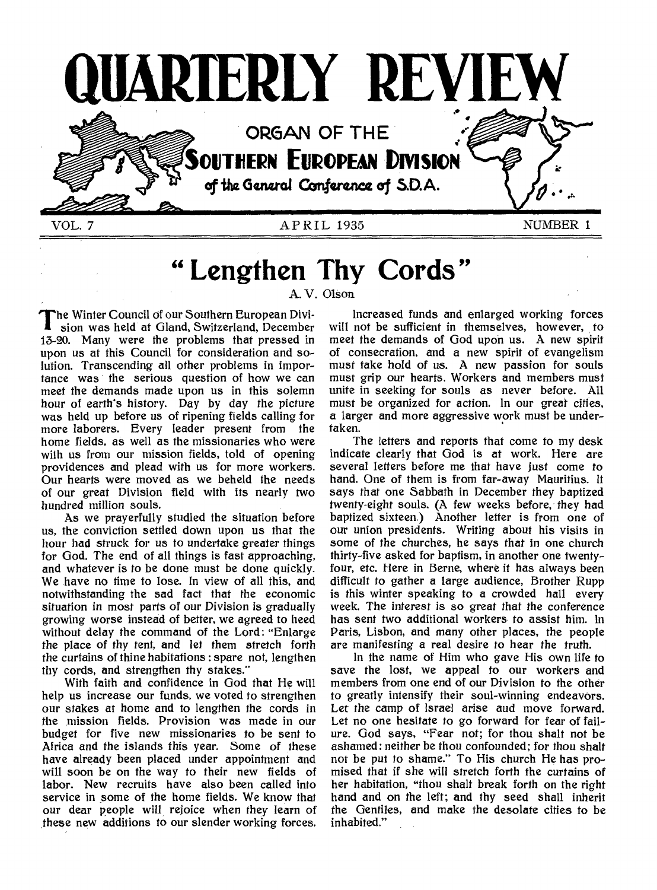

# **" Lengthen Thy Cords"**

A. V. Olson

T he Winter Council of our Southern European Division was held at Gland, Switzerland, December 13-20. Many were the problems that pressed in upon us at this Council for consideration and solution. Transcending all other problems in importance was the serious question of how we can meet the demands made upon us in this solemn hour of earth's history. Day by day the picture was held up before us of ripening fields calling for more laborers. Every leader present from the home fields, as well as the missionaries who were with us from our mission fields, told of opening providences and plead with us for more workers. Our hearts were moved as we beheld the needs of our great Division field with its nearly two hundred million souls.

As we prayerfully studied the situation before us, the conviction settled down upon us that the hour had struck for us to undertake greater things for God. The end of all things is fast approaching, and whatever is to be done must be done quickly. We have no time to lose. In view of all this, and notwithstanding the sad fact that the economic situation in most parts of our Division is gradually growing worse instead of better, we agreed to heed without delay the command of the Lord: "Enlarge the place of thy tent, and let them stretch forth the curtains of thine habitations : spare not, lengthen thy cords, and strengthen thy stakes."

With faith and confidence in God that He will help us increase our funds, we voted to strengthen our stakes at home and to lengthen the cords in the mission fields. Provision was made in our budget for five new missionaries to be sent to Africa and the islands this year. Some of these have already been placed under appointment and will soon be on the way to their new fields of labor. New recruits have also been called into service in some of the home fields. We know that our dear people will rejoice when they learn of these new additions to our slender working forces.

Increased funds and enlarged working forces will not be sufficient in themselves, however, to meet the demands of God upon us. A new spirit of consecration, and a new spirit of evangelism must take hold of us. A new passion for souls must grip our hearts. Workers and members must unite in seeking for souls as never before. All must be organized for action. In our *great* cities, a larger and more aggressive work must be undertaken.

The letters and reports that come to my desk indicate clearly that God is at work. Here are several letters before me that have just come to hand. One of them is from far-away Mauritius. It says that one Sabbath in December they baptized twenty-eight souls. (A few weeks before, they had baptized sixteen.) Another letter is from one of our union presidents. Writing about his visits in some of the churches, he says that in one church thirty-five asked for baptism, in another one twentyfour, etc. Here in Berne, where it has always been difficult to gather a large audience, Brother Rupp is this winter speaking to a crowded hall every week. The interest is so *great* that the conference has sent two additional workers to assist him. In Paris, Lisbon, and many other places, the people are manifesting a real desire to hear the truth.

In the name of Him who gave His own life to save the lost, we appeal to our workers and members from one end of our Division to the other to greatly intensify their soul-winning endeavors. Let the camp of Israel arise and move forward. Let no one hesitate to go forward for fear of failure. God says, "Fear not; for thou shalt not be ashamed: neither be thou confounded; for thou shalt not be put to shame." To His church He has promised that if she will stretch forth the curtains of her habitation, "thou shalt break forth on the right hand and on the left; and thy seed shall inherit the Gentiles, and make the desolate cities to be inhabited."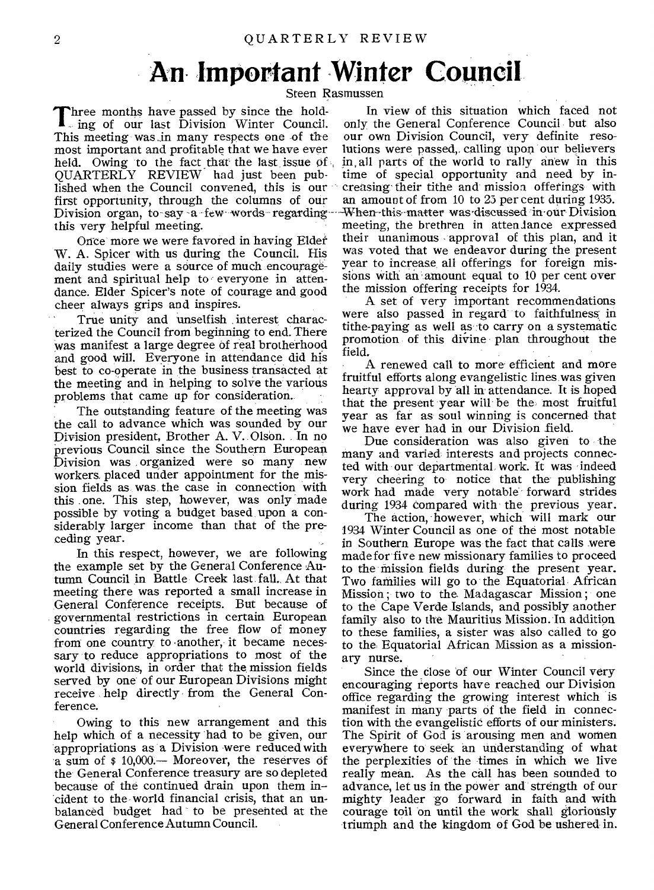# **An Important Winter Council**

Steen Rasmussen

Three months have passed by since the holding of our last Division Winter Council. This meeting was in many respects one of the most important and profitable that we have ever held. Owing to the fact that the last issue of , QUARTERLY REVIEW had just been published when the Council convened, this is our first opportunity, through the columns of our Division organ, to-say -a few words regarding this very helpful meeting.

Once more we were favored in having Elder W. A. Spicer with us during the Council. His daily studies were a source of much encouragement and spiritual help to everyone in attendance. Elder Spicer's note of courage and good cheer always grips and inspires.

True unity and unselfish interest characterized the Council from beginning to end. There was manifest a large degree of real brotherhood and good will. Everyone in attendance did his best to co-operate in the business transacted at the meeting and in helping to solve the various problems that came up for consideration.

The outstanding feature of the meeting was the call to advance which was sounded by our Division president, Brother A. V. Olson. In no previous Council since the Southern European Division was organized were so many new workers. placed under appointment for the mission fields as was the case in connection with this one. This step, however, was only made possible by voting a budget based upon a considerably larger income than that of the preceding year.

In this respect, however, we are following the example set by the General Conference Autumn Council in Battle Creek last fall.. At that meeting there was reported a small increase in General Conference receipts. But because of governmental restrictions in certain European countries regarding the free flow of money from one country to another, it became necessary to reduce appropriations to most of the world divisions, in order that the mission fields served by one of our European Divisions might receive help directly from the General Conference.

Owing to this new arrangement and this help which of a necessity had to be given, our appropriations as a Division were reduced with a sum of \$ 10,000.— Moreover, the reserves of the General Conference treasury are so depleted because of the continued drain upon them in- cident to the world financial crisis, that an unbalanced budget had to be presented at the General Conference Autumn Council.

In view of this situation which faced not only the General Conference Council but also our own Division Council, very definite resolutions were passed,, calling upon our believers in, all parts of the world to rally anew in this time of special opportunity and need by increasing' their tithe and mission offerings with an amount of from 10 to 23 per cent during 1933. When-this matter was discussed in our Division meeting, the brethren in attendance expressed their unanimous approval of this plan, and it was voted that we endeavor during the present year to increase all offerings for foreign missions with an amount equal to 10 per cent over the mission offering receipts for 1934.

A set of very important recommendations were also passed in regard to faithfulness in tithe-paying as well as to carry on a systematic promotion of this divine plan throughout the field.

A renewed call to more efficient and more fruitful efforts along evangelistic lines was given hearty approval by all in attendance. It is hoped that the present year will be the, most fruitful year as far as soul winning is concerned that we have ever had in our Division field.

Due consideration was also given to the many and varied interests and projects connected with our departmental work. it was indeed very cheering to notice that the-publishing work had made very notable forward strides during 1934 compared with the previous year.

The action, however, which will mark our 1934 Winter Council as one of the most notable in Southern Europe was the fact that calls were made for five new missionary families to proceed to the mission fields during the present year. Two families will go to the Equatorial. African Mission ; two to the Madagascar Mission ; one to the Cape Verde Islands, and possibly another family also to the Mauritius Mission. In addition to these families, a sister was also called to go to the Equatorial African Mission as a missionary nurse.

Since the close 'of our Winter Council very encouraging reports have reached our Division office regarding the growing interest which is manifest in many parts of the field in connection with the evangelistic efforts of our ministers. The Spirit of God is arousing men and women everywhere to seek an understanding of what the perplexities of the times in which we live really mean. As the call has been sounded to advance let us in the power and. strength of our advance, let us in the power and strength of our mighty leader go forward in faith and with courage toil on until the work shall gloriously triumph and the kingdom of God be ushered in.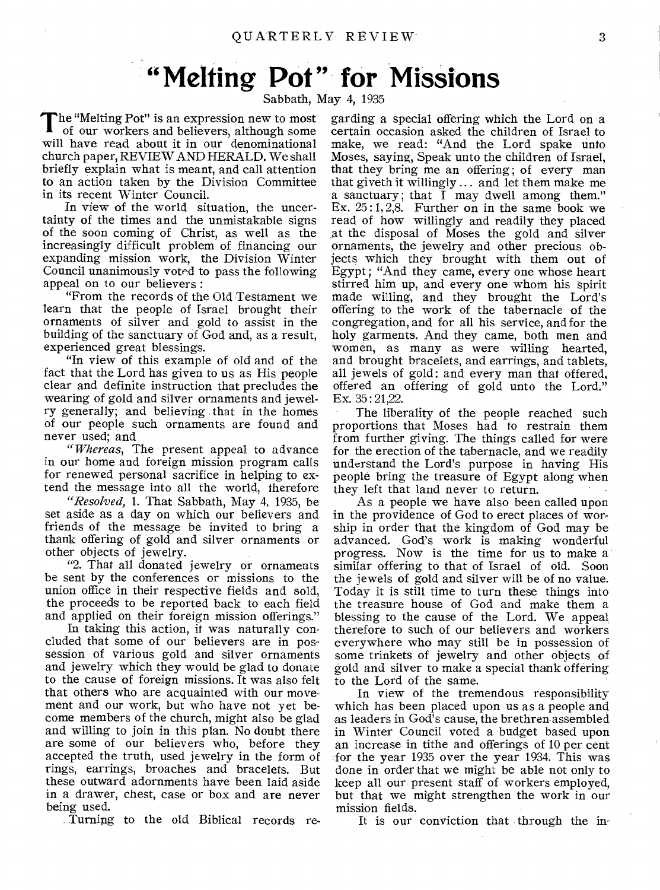# **"Melting Pot" for Missions**

Sabbath, May 4, 1935

The "Melting Pot" is an expression new to most<br>of our workers and believers, although some of our workers and believers, although some will have read about it in our denominational church paper, REVIEW AND HERALD. We shall briefly explain what is meant, and call attention to an action taken by the Division Committee in its recent Winter Council.

In view of the world situation, the uncertainty of the times and the unmistakable signs of the soon coming of Christ, as well as the increasingly difficult problem of financing our expanding mission work, the Division Winter Council unanimously voted to pass the following appeal on to our believers :

"From the records of the Old Testament we learn that the people of Israel brought their ornaments of silver and gold to assist in the building of the sanctuary of God and, as a result, experienced great blessings.

"In view of this example of old and of the fact that the Lord has given to us as His people clear and definite instruction that precludes the wearing of gold and silver ornaments and jewelry generally; and believing that in the homes of our people such ornaments are found and never used; and

*"Whereas,* The present appeal to advance in our home and foreign mission program calls for renewed personal sacrifice in helping to extend the message into all the world, therefore

*"Resolved,* 1. That Sabbath, May 4, 1935, be set aside as a day on which our believers and friends of the message be invited to bring a thank offering of gold and silver ornaments or other objects of jewelry.

"2. That all donated jewelry or ornaments be sent by the conferences or missions to the union office in their respective fields and sold, the proceeds to be reported back to each field and applied on their foreign mission offerings."

In taking this action, it was naturally concluded that some of our believers are in possession of various gold and silver ornaments and jewelry which they would be glad to donate to the cause of foreign missions. It was also felt that others who are acquainted with our movement and our work, but who have not yet become members of the church, might also be glad and willing to join in this plan. No doubt there are some of our believers who, before they accepted the truth, used jewelry in the form of rings, earrings, broaches and bracelets. But these outward adornments have been laid aside in a drawer, chest, case or box and are never being used.

Turning to the old Biblical records re-

garding a special offering which the Lord on a certain occasion asked the children of Israel to make, we read: "And the Lord spake unto Moses, saying, Speak unto the children of Israel, that they bring me an offering; of every man that giveth it willingly ... and let them make me a sanctuary; that  $\overline{I}$  may dwell among them." Ex.  $25:1, 2, 8$ . Further on in the same book we read of how willingly and readily they placed at the disposal of Moses the gold and silver ornaments, the jewelry and other precious objects which they brought with them out of Egypt ; "And they came, every one whose heart stirred him up, and every one whom his spirit made willing, and they brought the Lord's offering to the work of the tabernacle of the congregation, and for all his service, and for the holy garments. And they came, both men and women, as many as were willing hearted, and brought bracelets, and earrings, and tablets, all jewels of gold: and every man that offered, offered an offering of gold unto the Lord." Ex. 35 : 21,22.

The liberality of the people reached such proportions that Moses had to restrain them from further giving. The things called for were for the erection of the tabernacle, and we readily understand the Lord's purpose in having His people bring the treasure of Egypt along when they left that land never to return.

As a people we have also been called upon in the providence of God to erect places of worship in order that the kingdom of God may be advanced. God's work is making wonderful progress. Now is the time for us to make a similar offering to that of Israel of old. Soon the jewels of gold and silver will be of no value. Today it is still time to turn these things into the treasure house of God and make them a blessing to the cause of the Lord. We appeal therefore to such of our believers and workers everywhere who may still be in possession of some trinkets of jewelry and other objects of gold and silver to make a special thank offering to the Lord of the same.

In view of the tremendous responsibility which has been placed upon us as a people and as leaders in God's cause, the brethren assembled in Winter Council voted a budget based upon an increase in tithe and offerings of 10 per cent for the year 1935 over the year 1934.. This was done in order that we might be able not only to keep all our present staff of workers employed, but that we might strengthen the work in our mission fields.

It is our conviction that through the in-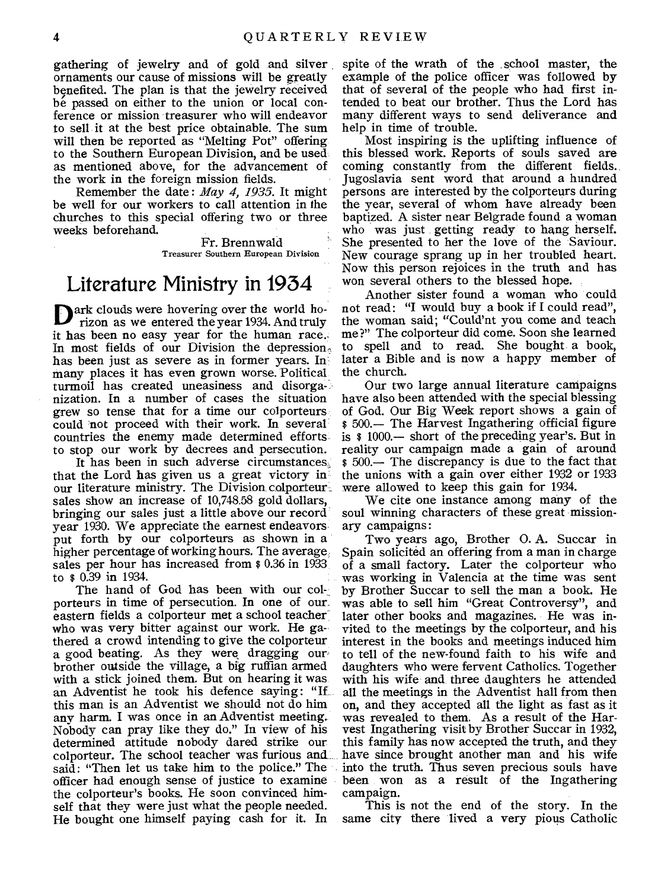gathering of jewelry and of gold and silver ornaments our cause of missions will be greatly benefited. The plan is that the jewelry received be passed on either to the union or local conference or mission treasurer who will endeavor to sell it at the best price obtainable. The sum will then be reported as "Melting Pot" offering to the Southern European Division, and be used as mentioned above, for the advancement of the work in the foreign mission fields.

Remember the date : *May 4, 1935.* It might be well for our workers to call attention in the churches to this special offering two or three weeks beforehand.

> Fr. Brennwald Treasurer Southern European Division

## Literature Ministry in 1934

Dark clouds were hovering over the world ho-<br>rizon as we entered the year 1934. And truly rizon as we entered the year 1934. And truly it has been no easy year for the human race.. In most fields of our Division the depression. has been just as severe as in former years. In many places it has even grown worse. Political turmoil has created uneasiness and disorganization. In a number of cases the situation grew so tense that for a time our colporteurs could not proceed with their work. In several countries the enemy made determined efforts to stop our work by decrees and persecution.

It has been in such adverse circumstances, that the Lord has given us a great victory in our literature ministry. The Division colporteur sales show an increase of 10,748.58 gold dollars, bringing our sales just a little above our record year 1930. We appreciate the earnest endeavors put forth by our colporteurs as shown in a higher percentage of working hours. The average, sales per hour has increased from \$ 0.36 in 1933 to \$ 0.39 in 1934.

The hand of God has been with our col-, porteurs in time of persecution. In one of our, eastern fields a colporteur met a school teacher who was very bitter against our work. He gathered a crowd intending to give the colporteur a good beating. As they were dragging our brother outside the village, a big ruffian armed with a stick joined them. But on hearing it was an Adventist he took his defence saying: "If this man is an Adventist we should not do him any harm. I was once in an Adventist meeting. Nobody can pray like they do." In view of his determined attitude nobody dared strike our colporteur. The school teacher was furious and said: "Then let us take him to the police." The officer had enough sense of justice to examine the colporteur's books. He soon convinced himself that they were just what the people needed. He bought one himself paying cash for it. In

spite of the wrath of the , school master, the example of the police officer was followed by that of several of the people who had first intended to beat our brother. Thus the Lord has many different ways to send deliverance and help in time of trouble.

Most inspiring is the uplifting influence of this blessed work. Reports of souls saved are coming constantly from the different fields.. Jugoslavia sent word that around a hundred persons are interested by the colporteurs during the year, several of whom have already been baptized. A sister near Belgrade found a woman who was just getting ready to hang herself. She presented to her the love of the Saviour. New courage sprang up in her troubled heart. Now this person rejoices in the truth and has won several others to the blessed hope.

Another sister found a woman who could not read: "I would buy a book if I could read", the woman said; "Could'nt you come and teach me ?" The colporteur did come. Soon she learned to spell and to read. She bought a book, later a Bible and is now a happy member of the church.

Our two large annual literature campaigns have also been attended with the special blessing of God. Our Big Week report shows a gain of \$ 500.— The Harvest Ingathering official figure is \$ 1000.— short of the preceding year's. But in reality our campaign made a gain of around \$ 500.— The discrepancy is due to the fact that the unions with a gain over either 1932 or 1933 were allowed to keep this gain for 1934.

We cite one instance among many of the soul winning characters of these great missionary campaigns:

Two years ago, Brother 0. A. Succar in Spain solicited an offering from a man in charge of a small factory. Later the colporteur who was working in Valencia at the time was sent by Brother Succar to sell the man a book. He was able to sell him "Great Controversy", and later other books and magazines. He was invited to the meetings by the colporteur, and his interest in the books and meetings induced him to tell of the new-found faith to his wife and daughters who were fervent Catholics. Together with his wife and three daughters he attended all the meetings in the Adventist hall from then on, and they accepted all the light as fast as it was revealed to them. As a result of the Harvest Ingathering visit by Brother Succar in 1932, this family has now accepted the truth, and they have since brought another man and his wife into the truth. Thus seven precious souls have been won as a result of the Ingathering campaign.

This is not the end of the story. In the same city there lived a very pious Catholic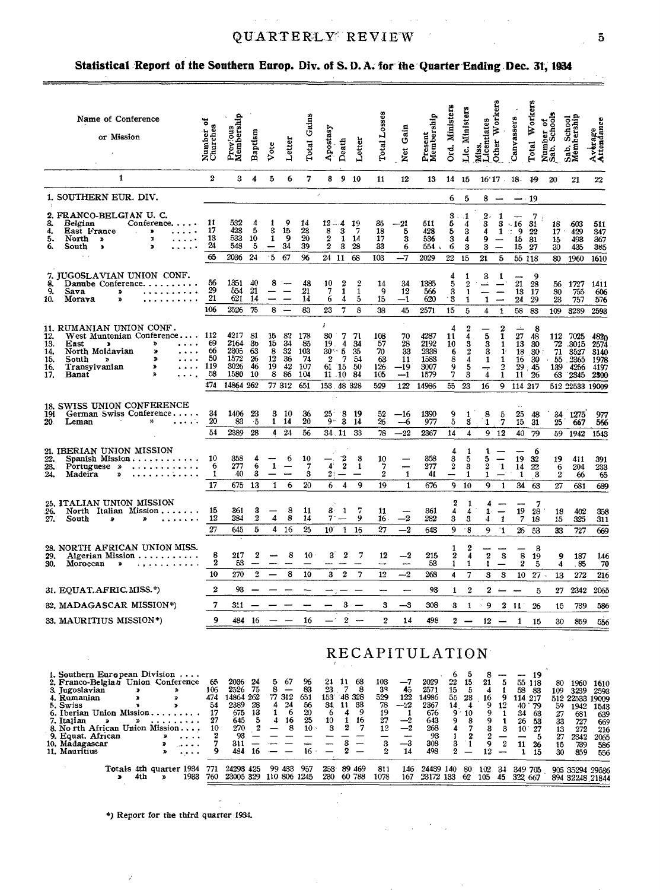#### QUARTERLY REVIEW

 $\Delta\phi$  and  $\Delta\phi$  are the second contributions of the second contribution  $\Delta\phi$ 

 $\sim$ 

### Statistical Report of the Southern Europ. Div. of S.D.A. for the Quarter Ending Dec. 31, 1934

| Name of Conference<br>or Mission                                                                                                                                                                                                                                                                                                  | 7<br>Number o<br>Churches   | Previous<br>Membership                                          | Baptism                 | Vote                                               | Letter                                                    | Total Gains                                  | Apostasy                                                                    | Death                                 | Letter                                | Total Losses                               | Gain<br><b>Net</b>                           | Present<br>Membership                                 | Ord, Ministers                            | Lic. Ministers                                  | Mtss.<br>Licentiates<br>Other Workers                      |                                                                                                        | Canvassers                                                        | Workers<br>Total                           | Number of<br>Sab, Schools               | Sab. School<br>Membership                                         | Average<br>Attendance                         |
|-----------------------------------------------------------------------------------------------------------------------------------------------------------------------------------------------------------------------------------------------------------------------------------------------------------------------------------|-----------------------------|-----------------------------------------------------------------|-------------------------|----------------------------------------------------|-----------------------------------------------------------|----------------------------------------------|-----------------------------------------------------------------------------|---------------------------------------|---------------------------------------|--------------------------------------------|----------------------------------------------|-------------------------------------------------------|-------------------------------------------|-------------------------------------------------|------------------------------------------------------------|--------------------------------------------------------------------------------------------------------|-------------------------------------------------------------------|--------------------------------------------|-----------------------------------------|-------------------------------------------------------------------|-----------------------------------------------|
| 1                                                                                                                                                                                                                                                                                                                                 | $\overline{2}$              | 3                                                               | 4                       | 5                                                  | 6                                                         | 7                                            | 8                                                                           | 9 10                                  |                                       | 11                                         | 12                                           | 13                                                    | 14 15                                     |                                                 |                                                            |                                                                                                        | $16'17 \cdot 18 \cdot 19$                                         |                                            | 20                                      | 21                                                                | $22\,$                                        |
| 1. SOUTHERN EUR. DIV.                                                                                                                                                                                                                                                                                                             |                             |                                                                 |                         |                                                    |                                                           |                                              | $\boldsymbol{\mathcal{I}}$                                                  |                                       |                                       |                                            |                                              |                                                       | 6                                         | 5                                               | 8                                                          |                                                                                                        |                                                                   | $-19$                                      |                                         |                                                                   |                                               |
| 2. FRANCO-BELGIAN U. C.<br>3.<br>Belgian<br>Conference.<br>4.<br>East France<br>- 20<br>$\mathcal{A}^{\pm}$<br>$\cdots$<br>5.<br>North $\lambda$<br>Þ<br>$\cdots$<br>6.<br>South<br>$\mathfrak{D}$<br>$\bullet$<br>.                                                                                                              | 11<br>17<br>13<br>24<br>65  | 532<br>423<br>533<br>548<br>2036                                | 4<br>5<br>10<br>5<br>24 | 1<br>3<br>1<br>$5^{\circ}$                         | 9<br>15<br>- 9<br>34<br>67                                | 14<br>23<br>20<br>39<br>96                   | $12 - 4$<br>8<br>$\boldsymbol{2}$<br>$\boldsymbol{2}$<br>24 11              | 3<br>$1 \t14$<br>3                    | 19<br>7<br>28<br>68                   | 35<br>18<br>17<br>33<br>103                | -21<br>5<br>з<br>6<br>$-7$                   | 511<br>428<br>536<br>554<br>2029                      | 3<br>5<br>5<br>3<br>6<br>22               | $\cdot$ 1<br>4<br>з<br>4<br>3<br>15             | 2,<br>3<br>4<br>9<br>3<br>21                               | -1<br>3<br>1<br>-<br>5                                                                                 | $\cdot$ 16<br>$\div$ 9<br>15<br>15                                | 7<br>31<br>22<br>31<br>27<br>55 118        | 18<br>17<br>15<br>30 <sup>2</sup><br>80 | 603<br>429<br>493<br>435<br>1960                                  | 511<br>347<br>367<br>385<br>1610              |
| 7. JUGOSLAVIAN UNION CONF.                                                                                                                                                                                                                                                                                                        |                             |                                                                 |                         |                                                    |                                                           |                                              |                                                                             |                                       |                                       |                                            |                                              |                                                       | 4                                         | 1                                               | 3                                                          | -1                                                                                                     |                                                                   | 9                                          |                                         |                                                                   |                                               |
| 8.<br>Danube Conference.<br>9.<br>Sava<br>$\pmb{\ast}$<br>10.<br>Morava<br>ď                                                                                                                                                                                                                                                      | 56<br>29<br>21              | 1351<br>554<br>621                                              | 40<br>21<br>14          | 8                                                  | $\overline{\phantom{a}}$<br>$\equiv$                      | 48<br>21<br>14                               | 10<br>7<br>6                                                                | $\boldsymbol{2}$<br>$\mathbf{1}$<br>4 | $\boldsymbol{2}$<br>$\mathbf{1}$<br>5 | 14<br>9<br>15                              | 34<br>12<br>$-1$                             | 1385<br>566<br>620                                    | 5<br>3<br>3                               | $\boldsymbol{2}$<br>$\mathbf{1}$<br>1           | شب<br>1                                                    | $\overline{\phantom{a}}$<br>$\overline{\phantom{a}}$                                                   | 21<br>13<br>24                                                    | 28<br>17<br>29                             | 56<br>30<br>23                          | 1727<br>755<br>757                                                | 1411<br>606<br>576                            |
|                                                                                                                                                                                                                                                                                                                                   | 106                         | 2526                                                            | 75                      | 8                                                  |                                                           | 83                                           | 23                                                                          | $\overline{7}$                        | 8                                     | 38                                         | 45                                           | 2571                                                  | 15                                        | 5                                               | $\overline{4}$                                             | $\mathbf 1$                                                                                            | 58                                                                | 83                                         | 109                                     | 3239                                                              | 2593                                          |
| 11. RUMANIAN UNION CONF.<br>West Muntenian Conference 112<br>12.<br>13.<br>$\mathbf{v}$<br>$\cdots$<br>East<br>$\bullet$<br>14.<br>$\pmb{y}$<br>North Moldavian<br>$\sim$ $\sim$ $\sim$ $\sim$<br>15.<br>South »<br><b>x</b><br>.<br>$\dots$ 119<br>Transylvanian<br>$\blacktriangleright$<br>16,<br>17.<br>$\mathbf{p}$<br>Banat | 69<br>66<br>50<br>58<br>474 | 4217<br>2164 30<br>2305<br>1572<br>3026 46<br>1580<br>14864 262 | 81<br>63<br>26<br>10    | 15<br>15<br>$\bf{8}$<br>12<br>19 42<br>8<br>77 312 | 82<br>34<br>32<br>36<br>-86                               | 178<br>85<br>103<br>-74<br>107<br>104<br>651 | k<br>30<br>19<br>$30 - 5$ 35<br>$2 \t 7$<br>61 15 50<br>11.10<br>153 48 328 | 7<br>4                                | -71<br>-34<br>- 54<br>84              | 108<br>57<br>70<br>63<br>126<br>105<br>529 | 70<br>28<br>33<br>11<br>$-19$<br>$-1$<br>122 | 4287<br>2192<br>2338<br>1583<br>3007<br>1579<br>14986 | 4<br>11<br>10<br>6<br>$\frac{8}{9}$<br>55 | 4<br>3<br>$\boldsymbol{2}$<br>4<br>5<br>3<br>23 | 5<br>$\frac{3}{3}$<br>$\mathbf{1}$<br>$\overline{4}$<br>16 | 2<br>$\mathbf{1}$<br>-1<br>$\mathbf{1}^{\prime}$<br>$\mathbf{1}$<br>$\overline{2}$<br>$\mathbf 1$<br>9 | $\overline{\phantom{a}}$<br>27<br>13<br>18<br>16<br>11<br>114 217 | 8<br>48<br>30<br>30:<br>-30<br>29.45<br>26 | 112<br>72<br>71<br>$-55$<br>139<br>63   | 7025<br>.3015<br>3527<br>.2365<br>4256<br>2345<br>512 22533 19009 | -4820<br>2574<br>3140<br>1978<br>4197<br>2300 |
|                                                                                                                                                                                                                                                                                                                                   |                             |                                                                 |                         |                                                    |                                                           |                                              | $\pm$ $\pm$                                                                 |                                       |                                       |                                            |                                              |                                                       |                                           |                                                 |                                                            |                                                                                                        |                                                                   |                                            |                                         |                                                                   |                                               |
| 18. SWISS UNION CONFERENCE<br>191 German Swiss Conference<br>20.<br>Leman<br>y)                                                                                                                                                                                                                                                   | 34<br>20<br>54              | 1406 23<br>83<br>2389                                           | -5<br>28                |                                                    | 3 10<br>1 14<br>424                                       | 36<br>20<br>56                               | $25 -$<br>9≅<br>34.11                                                       | -8<br>3                               | - 19<br>14<br>33                      | 52<br>26<br>78                             | $-16$<br>$-6$<br>$-22$                       | 1390<br>977<br>2367                                   | $\frac{9}{5}$<br>14                       | $\mathbf{1}$<br>s<br>4                          | 8<br>$\mathbf{1}$<br>9                                     | 5<br>7<br>12                                                                                           | 25<br>15<br>40                                                    | 48<br>31<br>79                             | 25                                      | 34 1275<br>667<br>59 1942                                         | 977<br>566<br>1548                            |
| 21. IBERIAN UNION MISSION<br>22.<br>Spanish Mission<br>23.<br>Portuguese »<br>24.<br>Madeira<br>Y)                                                                                                                                                                                                                                | 10<br>6<br>1                | 358<br>277<br>40                                                | 4<br>6<br>3             | $\mathbf{1}$                                       | 6<br>$\overline{\phantom{0}}$<br>$\overline{\phantom{a}}$ | 10<br>$\overline{\phantom{a}}$<br>3          | $\boldsymbol{4}$<br>$2: -$                                                  | $\frac{2}{2}$                         | 8<br>$\mathbf{1}$                     | 10<br>7<br>$\boldsymbol{2}$                | -<br>${\bf 1}$                               | 358<br>277<br>41                                      | 4<br>$\frac{3}{2}$<br>--                  | 1<br>5<br>3<br>1                                | 1<br>5<br>$\overline{2}$<br>1                              | $\mathbf{1}$                                                                                           | 19<br>14<br>1                                                     | 6<br>32<br>$\frac{22}{3}$                  | 19<br>6<br>2                            | 411<br>204<br>66                                                  | 391<br>233<br>65                              |
|                                                                                                                                                                                                                                                                                                                                   | 17                          | 675                                                             | 13                      | $\mathbf{1}$                                       | 6                                                         | 20                                           | 6                                                                           | $\overline{\mathbf{4}}$               | 9                                     | 19                                         | $\mathbf{1}$                                 | 676                                                   |                                           | 9 10                                            | 9                                                          | $\mathbf{1}$                                                                                           | 34                                                                | 63                                         | 27                                      | 681                                                               | 689                                           |
| 25. ITALIAN UNION MISSION<br>26.<br>North Italian Mission<br>27.<br>South<br>æ<br>D                                                                                                                                                                                                                                               | 15<br>12                    | 361<br>284                                                      | 3<br>$\boldsymbol{2}$   | 4                                                  | 8<br>8                                                    | 11<br>14                                     | $\alpha$ .<br>$3 -$<br>$7 -$                                                | $\mathbf{1}$                          | 7<br>9                                | 11<br>16.                                  | $-2$                                         | 361<br>282                                            | 2<br>4<br>3                               | 1<br>4<br>3                                     | 4<br>$1 -$<br>4                                            | $\Box$<br>$\mathbf{1}$                                                                                 | 19<br>$\overline{7}$                                              | 7<br>28<br>18                              | 18<br>15                                | 402<br>325                                                        | 358<br>311                                    |
|                                                                                                                                                                                                                                                                                                                                   | 27                          | 645                                                             | 5                       | 4                                                  | 16                                                        | 25                                           | $10^{\circ}$                                                                | $\mathbf{1}$                          | 16                                    | 27                                         | $^{-2}$                                      | 643                                                   | 9                                         | 8                                               | 9                                                          | 'n,                                                                                                    | 26                                                                | 53                                         | 33                                      | 727                                                               | 669                                           |
| 28. NORTH AFRICAN UNION MISS.<br>29.<br>Algerian Mission $\ldots \ldots \ldots$<br>30.<br>Moroccan<br>$\bullet$                                                                                                                                                                                                                   | 8<br>$\boldsymbol{2}$       | 217<br>53                                                       | $\boldsymbol{2}$        |                                                    | 8                                                         | 10 <sup>10</sup>                             | 3                                                                           | $\boldsymbol{2}$                      | 7                                     | 12                                         | $-2$                                         | 215<br>53                                             | $\frac{1}{2}$<br>1                        | 2<br>4<br>1                                     | $\,2\,$<br>$\mathbf{1}$                                    | $\boldsymbol{\mathsf{s}}$                                                                              | 8<br>$\boldsymbol{2}$                                             | 3<br>19<br>5                               | 9<br>4                                  | 187<br>. 85                                                       | 146<br>70                                     |
|                                                                                                                                                                                                                                                                                                                                   | 10                          | 270                                                             | $\overline{2}$          |                                                    | 8                                                         | 10                                           | 3                                                                           | $\boldsymbol{2}$                      | 7                                     | 12                                         | $-2$                                         | 268                                                   | 4                                         | 7                                               | 3                                                          | 3                                                                                                      | 10                                                                | 27                                         | 13                                      | 272                                                               | 216                                           |
| 31. EQUAT, AFRIC, MISS.*)                                                                                                                                                                                                                                                                                                         | $\boldsymbol{2}$<br>7       | 93                                                              |                         |                                                    |                                                           |                                              |                                                                             | 3                                     |                                       |                                            |                                              | 93                                                    | 1                                         | $\boldsymbol{2}$                                | 2                                                          |                                                                                                        |                                                                   | 5                                          | 27                                      | 2342                                                              | 2065                                          |
| 32, MADAGASCAR MISSION*)<br>33. MAURITIUS MISSION*)                                                                                                                                                                                                                                                                               | 9                           | 311<br>484 16                                                   |                         |                                                    |                                                           | 16                                           |                                                                             | $\overline{2}$                        |                                       | 3<br>$\overline{2}$                        | $-3$<br>14                                   | 308<br>498                                            | 3                                         | $\mathbf{1}$<br>$2 -$                           | 9<br>12                                                    | $\boldsymbol{2}$                                                                                       | - 11<br>1                                                         | 26<br>15                                   | 15<br>30                                | 739<br>859                                                        | 586                                           |
| 1. Southern European Division $\cdots$                                                                                                                                                                                                                                                                                            |                             | $0000 - 04$                                                     |                         |                                                    | $E = 67$                                                  | $\alpha$                                     |                                                                             |                                       |                                       | $01 - 11 - 60 = 100$                       |                                              | RECAPITULATION<br>7, 0000, 00, 15                     | -6                                        | 5                                               |                                                            | $\frac{8}{3}$ –                                                                                        |                                                                   | -19                                        |                                         |                                                                   | 556                                           |

| $\mathbf{r}$ . Southern European Division $\mathbf{r}$ |     |                        |        |        |         |            |      |       |           |          |     |     | $-$          | 19  |     |                 |      |
|--------------------------------------------------------|-----|------------------------|--------|--------|---------|------------|------|-------|-----------|----------|-----|-----|--------------|-----|-----|-----------------|------|
| 2. Franco-Belgian Union Conference                     | 65  | 2036 24                | -67    | 96     | 24      | -68<br>11. | 103  | —1    | 2029      | 22<br>15 | 21  |     | 55 118       |     | 80  | 1960            | 1610 |
| 3. Jugoslavian                                         | 106 | - 75<br>2526           |        | 83     | 23.     |            | 33   | 45    | 2571      | 15       |     |     | 58           | -83 | 109 | 3239            | 2593 |
| 4. Rumanian                                            | 474 | 14864 262              | 77 312 | 651    | 153     | 48 328     | 529  | 122   | 14986     | 55<br>23 | 16  |     | 114 217      |     |     | 512 22533 19009 |      |
| 5. Swiss                                               | 54  | 2389 28                | 24     | 56     | 34.     | 11 33      | 78   | $-22$ | 2367      | 14       |     | 12  | $40^{\circ}$ | 79  | 59  | 1942            | 1543 |
| 6. Iberian Union Mission                               |     | 675<br>13              |        | 20     |         |            | 19   |       | 676       | 9'10     |     |     | 34           | 63  | 27  | 681             | 639  |
| 7. Italian<br>$\mathbf{z}$<br>. <i>. .</i>             | 27  | 645                    | 16     | 25     | 10      | 16         | 27   | $-2$  | 643       |          |     |     | 26           | 53  | 33  | 727             | 669  |
| 8. No rth African Union Mission                        |     | 270                    |        | $10 -$ | з       |            | 12   | $-2$  | 268       |          |     |     | 10           | -27 | 13  | 272             | 216  |
| 9. Equat. African<br>.                                 |     | 93                     |        |        |         |            |      |       | 93        |          |     |     |              |     | 27  | 2342            | 2065 |
| 10. Madagascar<br>$\cdots$                             |     | 311                    |        |        |         |            |      | $-3$  | 308       |          |     |     | 11           | 26  | 15  | 739             | 586  |
| 11. Mauritius<br>.                                     |     | 484<br>16              |        |        |         |            |      | 14    | 498       |          |     |     |              |     | 30  | 859             | 556  |
|                                                        |     |                        |        |        |         |            |      |       |           |          |     |     |              |     |     |                 |      |
| Totals 4th quarter 1934                                | 771 | 24293 425              | 99 433 | 957    | $253 -$ | 89 469     | -811 | 146   | 24439 140 | 80       | 102 | -34 | 349 705      |     |     | 905 35294 29536 |      |
| 1933<br>4th                                            | 760 | 23005 329 110 806 1245 |        |        | 230     | 60 788     | 1078 | 167   | 23172 133 | 62       | 105 | 45  | 322 667      |     |     | 894 32248 21844 |      |
|                                                        |     |                        |        |        |         |            |      |       |           |          |     |     |              |     |     |                 |      |

 $\sim$   $\sim$  $\bar{z}$ 

 $\bar{z}$ 

 $\sim$  $\sim$ 

\*) Report for the third quarter 1934.

 $\hat{\mathcal{L}}$ 

 $-5$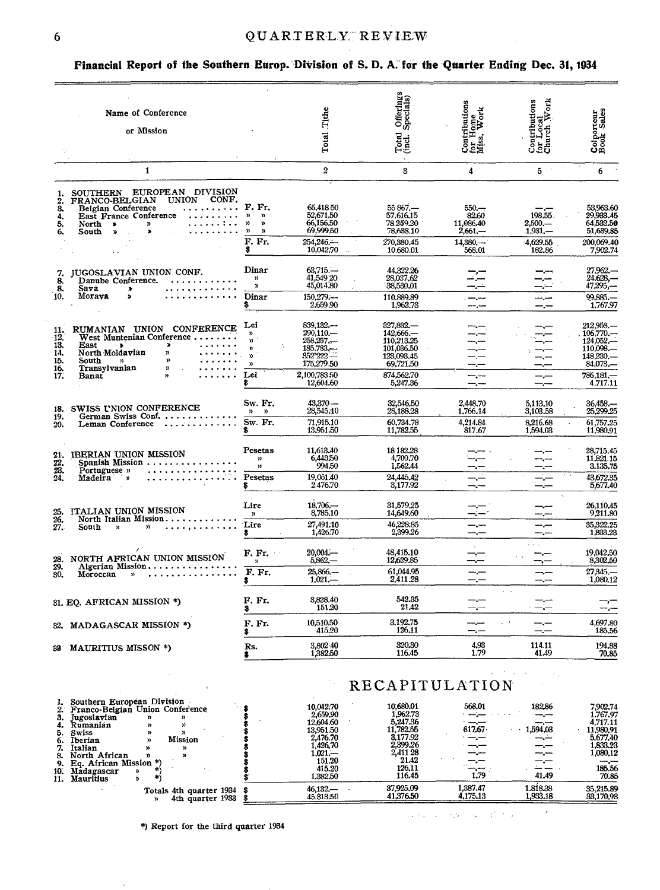### $\verb"QUARTERLY" \verb"REVIEW"$

### Financial Report of the Southern Europ. Division of S. D. A. for the Quarter Ending Dec. 31, 1934

|                                                | Name of Conference<br>or Mission                                                                                                                                                                                                            |                                                                                                    | Tithe<br>Total                                                                                   | Offerings<br>Specials)<br>Total<br>(incl.)                                                            | Contributions<br>for Home<br>Miss, Work                       | Contributions<br>for Local<br>Church Work              | Colporteur<br>Book Sales                                                                               |
|------------------------------------------------|---------------------------------------------------------------------------------------------------------------------------------------------------------------------------------------------------------------------------------------------|----------------------------------------------------------------------------------------------------|--------------------------------------------------------------------------------------------------|-------------------------------------------------------------------------------------------------------|---------------------------------------------------------------|--------------------------------------------------------|--------------------------------------------------------------------------------------------------------|
|                                                | $\mathbf{1}$                                                                                                                                                                                                                                |                                                                                                    | $\overline{2}$                                                                                   | 3                                                                                                     | 4                                                             | $5 -$                                                  | 6                                                                                                      |
| 1.<br>$\frac{2}{3}$<br>4.<br>5.<br>6.          | SOUTHERN EUROPEAN DIVISION<br>FRANCO-BELGIAN UNION CONF.<br>Belgian Conference<br>East France Conference<br>.<br>. 1<br>North ><br>$\ddot{ }$<br>$\blacktriangleright$<br>South »                                                           | F. Fr.<br>מ מ<br>$\mathfrak{D}$ , $\mathfrak{D}$<br>$\mathcal{D}$<br>$\mathfrak{p}$<br>F. Fr.<br>s | 65,418 50<br>52,671,50<br>66,156.50<br>69,999.50<br>254,246,<br>10,042.70                        | $55867 -$<br>57,616.15<br>78.259.20<br>78,638.10<br>270.380.45<br>10.680.01                           | $550 -$<br>82.60<br>11.086.40<br>$2,661-$<br>14,880<br>568.01 | 198.55.<br>$2,500 -$<br>$1,931-$<br>4,629.55<br>182.86 | 53,963.60<br>29,933.45<br>64.532.50<br>51,639.85<br>200,069.40<br>7,902.74                             |
| 7.<br>$\frac{8}{8}$<br>10.                     | JUGOSLAVIAN UNION CONF.<br>Danube Conference.<br>Sava<br>$\pmb{\ast}$<br>Moraya<br>$\cdots \cdots$ Dinar<br>$\pmb{\Sigma}$                                                                                                                  | Dinar<br>$\mathbf{v}$<br>Y)<br>s                                                                   | $63,715-$<br>41,549 20<br>45,014.80<br>$150.279$ ;-<br>2,659.90                                  | 44.322.26<br>28,037.62<br>38,530.01<br>110.889.89<br>1,962.73                                         |                                                               |                                                        | 27.962.-<br>24.628,-<br>47,295,-<br>99.885.<br>1,767.97                                                |
| 11.<br>-12.<br>13.<br>14.<br>15.<br>16.<br>17. | RUMANIAN UNION CONFERENCE<br>West Muntenian Conference<br>East<br>$\mathbf{v}$<br>$\rightarrow$<br>North Moldavian<br>$\boldsymbol{v}$<br>$\mathfrak{D}$<br>South<br>$\mathbf{D}$<br>Transylvanian<br>y)<br>.<br>Banat<br>$\mathbf{v}$<br>. | Lei<br>$\mathbf{n}$<br>n<br>ŋ,<br>$\mathcal{D}$<br>$\mathbf{v}$<br>Lei<br>\$                       | 839,132<br>290,110.<br>258,257<br>$185.783 - 352'222$<br>175,279.50<br>2,100,783.50<br>12,604.60 | 327,832<br>142,666.-<br>110,213.25<br>101,036.50<br>123,093.45<br>69,721.50<br>874,562.70<br>5,247.36 | $\frac{1}{1-\epsilon}$                                        |                                                        | 212.958.-<br>$106.770-$<br>$124,052-$<br>110,098.<br>$148,230, -$<br>84,073,-<br>786,181,-<br>4.717.11 |
| 18.<br>19.<br>20.                              | SWISS UNION CONFERENCE<br>German Swiss Conf.<br>Leman Conference                                                                                                                                                                            | Sw. Fr.<br>$\mathfrak{D}$ $\mathfrak{D}$<br>Sw. Fr.                                                | $43,370 -$<br>28,545,10<br>71.915.10<br>13,951.50                                                | 32,546,50<br>28,188.28<br>60,734.78<br>11,782.55                                                      | 2,448.70<br>1,766.14<br>4,214.84<br>817.67                    | 5,113,10<br>3,103.58<br>8.216.68<br>1,594.03           | 36,458,-<br>25,299.25<br>61.757.25<br>11,980,91                                                        |
| 21.<br>$\frac{22}{23}$<br>$\frac{23}{24}$      | IBERIAN UNION MISSION<br>Spanish Mission<br>Portuguese »<br>$\sim$ $\sim$ $\sim$<br>. <sup>0</sup><br>Madeira<br>ŋ,                                                                                                                         | Pesetas<br>$\mathbf{v}$<br>y)<br>Pesetas<br>\$                                                     | 11,613.40<br>6,443.50<br>994.50<br>19,051.40<br>2.476.70                                         | 18 18 2.28<br>4,700.70<br>1,562.44<br>24,445,42<br>3,177.92                                           |                                                               |                                                        | 28,715.45<br>11,821.15<br>3,135,75<br>43,672.35<br>5,677.40                                            |
| 25.<br>$\frac{26}{27}$                         | ITALIAN UNION MISSION<br>North Italian Mission<br>$\mathbf{v}$<br>South<br>$\mathbf{v}$                                                                                                                                                     | Lire<br>$\boldsymbol{\mathfrak{p}}$<br>Lire<br>8.                                                  | $18.706 -$<br>8,785,10<br>27,491.10<br>1,426.70                                                  | 31.579.25<br>14,649,60<br>46,228.85<br>2,899.26                                                       |                                                               |                                                        | 26,110,45<br>9,211.80<br>35,322.25<br>1,833.23                                                         |
| $\frac{28}{29}$<br>30.                         | NORTH AFRICAN UNION MISSION<br>Algerian Mission<br>Moroccan<br>$\mathbf{y}$                                                                                                                                                                 | F. Fr.<br>$\mathcal{Y}$<br>F. Fr.<br>\$                                                            | $20.004 -$<br>$5.862 -$<br>$25,866-$<br>$1,021-$                                                 | 48,415.10<br>12,629.85<br>61,044.95<br>2,411.28                                                       | —.—                                                           | $-$ , $-$                                              | 19,042.50<br>8,302.50<br>27,345.<br>1,080.12                                                           |
|                                                | 31. EQ. AFRICAN MISSION *)                                                                                                                                                                                                                  | F. Fr.<br>s.                                                                                       | 3,828.40<br>151.20                                                                               | 542.35<br>21.42                                                                                       | ----                                                          | سنستن منتسبه                                           | —,−<br>—,—                                                                                             |
|                                                | 32. MADAGASCAR MISSION *)                                                                                                                                                                                                                   | F. Fr.                                                                                             | 10,510.50<br>415.20                                                                              | 3.192.75<br>126.11                                                                                    | —.—                                                           |                                                        | 4,697.80<br>185.56                                                                                     |
|                                                | 33 MAURITIUS MISSON *)                                                                                                                                                                                                                      | Rs.<br>\$                                                                                          | 3,802.40<br>1,382.50                                                                             | 320.30<br>116.45                                                                                      | 4.93<br>1.79                                                  | 114.11<br>41.49                                        | 194.88<br>70.85                                                                                        |
|                                                |                                                                                                                                                                                                                                             |                                                                                                    |                                                                                                  | <b>RECAPITULATION</b>                                                                                 |                                                               |                                                        |                                                                                                        |

## RECAPITULATION

|                                                                                                                                                                                                                                             |                                                                                                                             | KEUAPII ULA I ION                                                                                               |                          |                             |                                                                                                     |
|---------------------------------------------------------------------------------------------------------------------------------------------------------------------------------------------------------------------------------------------|-----------------------------------------------------------------------------------------------------------------------------|-----------------------------------------------------------------------------------------------------------------|--------------------------|-----------------------------|-----------------------------------------------------------------------------------------------------|
| Southern European Division<br>Franco-Belgian Union Conference<br>Jugoslavian<br>»<br>Rumanian<br>»<br>Swiss<br>Mission<br>Iberian<br>Italian<br><b>»</b><br>North African<br>Y)<br>Eq. African Mission *)<br>10.<br>Madagascar<br>Mauritius | 10.042.70<br>2,659.90<br>12,604.60<br>13.951.50<br><b>2.476.70</b><br>1.426.70<br>$1.021 -$<br>151.20<br>415.20<br>1.382.50 | 10.680.01<br>1,962.73<br>5,247.36<br>11.782.55<br>3.177.92<br>2.399.26<br>2,411 28<br>21.42<br>126.11<br>116.45 | 568.01<br>817.67<br>1.79 | 182.86<br>1,594,03<br>41.49 | .902.74<br>1.767.97<br>4.717.11<br>11.980.91<br>5.677.40<br>l.833.23<br>1,080.12<br>185.56<br>70.85 |
| Totals 4th quarter 1934 \$<br>4th quarter $1933$ \$                                                                                                                                                                                         | $46.132 -$<br>45.313.50                                                                                                     | 37.925.09<br>41,376.50                                                                                          | 1.387.47<br>4,175,13     | 1.818.38<br>1,933.18        | 35, 215, 89<br>33,170,93                                                                            |

\*) Report for the third quarter 1934

 $\rightarrow$  $\mathcal{L}(\mathcal{F},\mathcal{L})$  ,  $\mathcal{L}(\mathcal{F},\mathcal{L}(\mathcal{L}))$  ,  $\mathcal{L}(\mathcal{L}(\mathcal{L}(\mathcal{L}(\mathcal{L})))$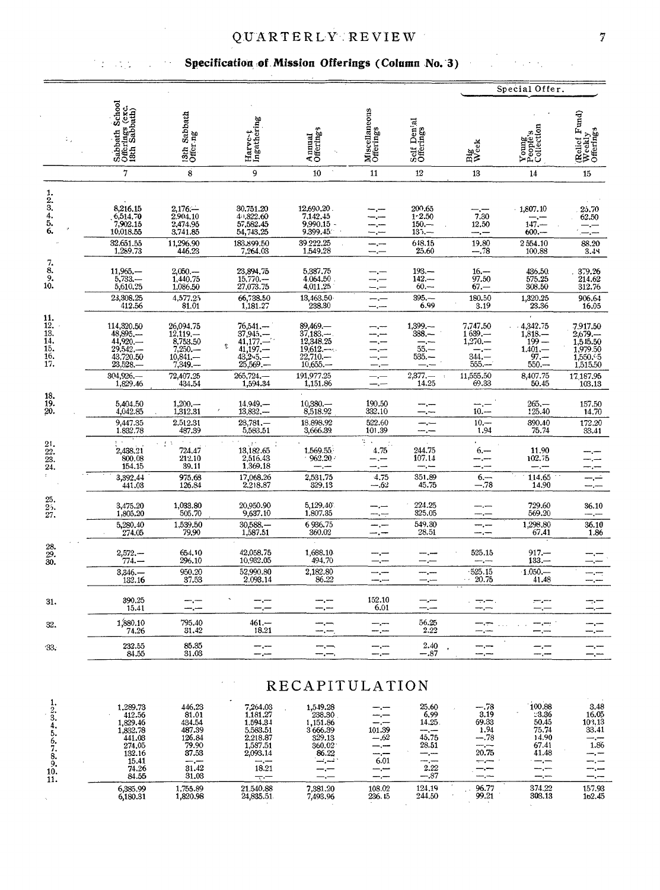### **QUARTERLY REVIEW**

### Specification of Mission Offerings (Column No. 3)

 $\hat{\boldsymbol{\theta}}$ 

 $\sim$  .

 $\mathbb{S}[\mathfrak{g}^{\vee},\mathfrak{g}^{\vee}_{\mathfrak{g}}]$  ,  $\mathfrak{g}^{\vee}_{\mathfrak{g}}$ 

|                                                                       |                                                                                                     |                                                                                          |                                                                                                        |                                                                                               |                                                       |                                                                                           |                                                                    | Special Offer.                                                                            |                                                                              |
|-----------------------------------------------------------------------|-----------------------------------------------------------------------------------------------------|------------------------------------------------------------------------------------------|--------------------------------------------------------------------------------------------------------|-----------------------------------------------------------------------------------------------|-------------------------------------------------------|-------------------------------------------------------------------------------------------|--------------------------------------------------------------------|-------------------------------------------------------------------------------------------|------------------------------------------------------------------------------|
|                                                                       | Sabbath School<br>Offerings (exc.<br>18th Sabbath)                                                  | Sabbath<br>13th Sabi<br>Offer ng                                                         | Harve-t<br>Ingathering                                                                                 | Annual<br>Offering's                                                                          | Miscellaneous<br>Offerings                            | Self Denial<br>Offerings                                                                  | Big<br>Week                                                        | Young<br>People's<br>Collection                                                           | (Relief Fund)<br>Weekly<br>Offerings                                         |
|                                                                       | $\overline{7}$                                                                                      | 8                                                                                        | 9                                                                                                      | 10                                                                                            | 11                                                    | 12                                                                                        | 13                                                                 | 14                                                                                        | 15                                                                           |
| 1.2.3.4.5.6.                                                          | 8,216.15<br>6,514.70<br>7,902.15<br>10,018.55<br>32.651.55                                          | $2,176-$<br>2,904.10<br>2,474.95<br>3.741.85<br>11,296.90                                | 30,751.20<br>4+822.60<br>57,582.45<br>54,743.25<br>183,899.50                                          | 12,690,20<br>7,142.45<br>9,990.15<br>9,399.45<br>39.222.25                                    | —.—                                                   | 200.65<br>$1 - 2.50$<br>$150 -$<br>$135 -$<br>648.15                                      | $\frac{1}{7.30}$<br>12,50<br>—, —<br>19.80                         | 1,807.10<br>$147-$<br>$600 -$<br>2554.10                                                  | 25.70<br>62.50<br>—.−<br>88.20                                               |
|                                                                       | 1,289.73                                                                                            | 446.23                                                                                   | 7,264.03                                                                                               | 1,549.28                                                                                      | — —                                                   | 25.60                                                                                     | $-.78$                                                             | 100.88                                                                                    | 3.49                                                                         |
| $\begin{array}{c} 7.8 \\ 8.9 \\ 9.10. \end{array}$                    | $11,965,-$<br>5,733.-<br>5,610.25                                                                   | 2,050.<br>1,440.75<br>1,086.50                                                           | 23,894.75<br>15,770.<br>27,073.75                                                                      | 5,387.75<br>4.064.50<br>4,011.25                                                              | —.—                                                   | 193.—<br>$142 -$<br>$60 -$                                                                | $\frac{16. -}{97.50}$<br>$67 -$                                    | 436.50<br>575.25<br>308.50                                                                | 379.26<br>214.62<br>312.76                                                   |
|                                                                       | 23,308.25<br>412.56                                                                                 | 4,577.25<br>81.01                                                                        | 66,738.50<br>1,181.27                                                                                  | 13,463.50<br>238.30                                                                           |                                                       | $395 -$<br>6.99                                                                           | 180.50<br>3.19                                                     | 1,320.25<br>23.36                                                                         | 906.64<br>16.05                                                              |
| 11.<br>12.<br>$\frac{13}{14}$<br>$\frac{15}{16}$<br>$\frac{1}{17}$    | 114,320.50<br>48,895,-<br>$44,920-$<br>$29.542-$<br>43,720.50<br>$23,528-$                          | 26,094.75<br>$12,119, -$<br>8,753.50<br>$7,250,-$<br>10,841.<br>$7,349, -$               | $76,541-$<br>37,945.—<br>$41,177-$<br>ę.<br>$41,197-43,25-$<br>25,569.—                                | 89,469.-<br>$37,183-$<br>12,348.25<br>$\frac{19,612,\dots}{22,710,\dots}$<br>10,655           |                                                       | $1.399 -$<br>388.—<br>$55. -$<br>$535 -$                                                  | 7,747.50<br>$1639 -$<br>$1,270,-$<br>—,—<br>$344 -$<br>$555. -$    | $-4,342.75$<br>$1,818-$<br>$199 -$<br>$1.401 -$<br>$97 -$<br>$550 -$                      | 7.917.50<br>2,679.—<br>1,545.50<br>1,979.50<br>1,550.65<br>1,515.50          |
|                                                                       | 304.926<br>1,829.46                                                                                 | 72,407.25<br>434.54                                                                      | 265,724.<br>1,594.34                                                                                   | 191,977.25<br>1,151.86                                                                        | —, —                                                  | $2,377, -$<br>14.25                                                                       | 11,555.50<br>69.33                                                 | 8,407.75<br>50.45                                                                         | 17,187.95<br>103.13                                                          |
| 18.<br>$\frac{19}{20}$                                                | 5,404.50<br>4,042.85                                                                                | $1,200-$<br>1,312.31                                                                     | 14,949,-<br>13,832.                                                                                    | $10,380-$<br>8,518.92                                                                         | $\frac{190.50}{332.10}$                               |                                                                                           | $\frac{1}{10}$                                                     | $265 -$<br>125.40                                                                         | 157.50<br>14.70                                                              |
|                                                                       | 9,447.35<br>1.832.78                                                                                | 2.512.31<br>487.39                                                                       | $28,781-$<br>5,583.51                                                                                  | 18,898.92<br>3,666.39                                                                         | 522.60<br>101.39                                      |                                                                                           | $10 -$<br>1.94                                                     | 390.40<br>75.74                                                                           | 172.20<br>33.41                                                              |
| $\frac{21}{22}$ .<br>23.<br>23.                                       | $\frac{2,438.21}{800.08}$<br>154.15                                                                 | 法令<br>$\begin{array}{c} 724.47 \\ 212.10 \end{array}$<br>39.11                           | 13,182.65<br>2,516.43<br>1,369.18                                                                      | 1.569.55<br>$962.20 -$                                                                        | $\mathcal{I}(\mathcal{A})$ .<br>÷.<br>4.75<br>— 1     | 244.75<br>107.14                                                                          | $6, -$<br>--.--                                                    | 11.90<br>102.75                                                                           |                                                                              |
| $\tilde{\zeta}$                                                       | 3,392,44<br>441.03                                                                                  | 975.68<br>126.84                                                                         | 17,068.26<br>2,218.87                                                                                  | 2,531.75<br>329.13                                                                            | 4.75<br>---.62                                        | 351.89<br>45.75                                                                           | $6 -$<br>$-.78$                                                    | 114.65<br>14.90                                                                           |                                                                              |
| $\frac{25}{25}$ .<br>27.                                              | 3,475.20<br>1,805.20                                                                                | 1,033.80<br>505.70                                                                       | 20,950.90<br>9,637.10                                                                                  | 5,129.40<br>1,807.35                                                                          |                                                       | 224.25<br>325.05                                                                          |                                                                    | 729.60<br>569.20                                                                          | 36.10                                                                        |
|                                                                       | 5,280,40<br>274.05                                                                                  | 1,539.50<br>79,90                                                                        | $30,588, -$<br>1,587.51                                                                                | 6936.75<br>360.02                                                                             |                                                       | 549.30<br>28.51                                                                           |                                                                    | 1,298.80<br>67.41                                                                         | 36.10<br>1.86                                                                |
| 28.<br>$\frac{29}{30}$ .                                              | $2,572-$<br>774.—                                                                                   | 654.10<br>296.10                                                                         | 42,058.75<br>10,932.05                                                                                 | 1,688.10<br>494.70                                                                            |                                                       |                                                                                           | 525.15                                                             | 917.—<br>$133-$                                                                           |                                                                              |
|                                                                       | 3,346.<br>132.16                                                                                    | 950.20<br>37.53                                                                          | 52,990.80<br>2,093.14                                                                                  | 2.182.80<br>86.22                                                                             |                                                       | —,—                                                                                       | $-525.15$<br>20.75<br>$\sim$ $\sim$                                | $1.050 -$<br>41.48                                                                        | ---                                                                          |
| 31.                                                                   | 390.25<br>15.41                                                                                     |                                                                                          |                                                                                                        |                                                                                               | 152.10<br>6.01                                        |                                                                                           |                                                                    |                                                                                           | - -                                                                          |
| 32.                                                                   | 1,880.10<br>74.26                                                                                   | 795.40<br>31.42                                                                          | 461.—<br>18.21                                                                                         |                                                                                               | ----                                                  | 56.25<br>2.22                                                                             | —.—                                                                | —.—                                                                                       |                                                                              |
| 33.                                                                   | 232.55<br>84.55                                                                                     | 85.35<br>31.03                                                                           | —,—<br>--.--                                                                                           | -.—.                                                                                          |                                                       | 2.40<br>$-.87$                                                                            | --.--<br>—.—                                                       |                                                                                           | -.-                                                                          |
|                                                                       |                                                                                                     |                                                                                          |                                                                                                        | <b>RECAPITULATION</b>                                                                         |                                                       |                                                                                           |                                                                    |                                                                                           |                                                                              |
| 1.<br>$\frac{2}{3}$<br>4.<br>5.<br>6.<br>7.<br>8.<br>9.<br>10.<br>11. | 1,289.73<br>412.56<br>1,829.46<br>1,832.78<br>441.03<br>274.05<br>132.16<br>15.41<br>74.26<br>84.55 | 446.23<br>81.01<br>434.54<br>487.39<br>126.84<br>79.90<br>37.53<br>---<br>31.42<br>31.03 | 7,264.03<br>1,181.27<br>1,594.34<br>5,583.51<br>2,218.87<br>1,587.51<br>2,093.14<br>---<br>18.21<br>マー | 1,549.28<br>238.30<br>1,151.86<br>3666.39<br>329.13<br>360.02<br>86.22<br>تبرئت<br>-.-<br>—.— | —.—<br>—. —<br>-.-<br>101.39<br>-- .62<br>6.01<br>--- | 25,60<br>6,99<br>14.25.<br>سندرجهم<br>45,75<br>28.51<br>--.--<br>--.---<br>2.22<br>$-.87$ | $-.78$<br>3.19<br>69.33<br>1.94<br>--.78<br>20.75<br>$- -$<br>-.-- | 100.88<br>23.36<br>50.45<br>75.74<br>14.90<br>67.41<br>41.48<br>$-$ , $-$<br>--.--<br>—,— | 3.48<br>16.05<br>103.13<br>33.41<br>--<br>1.86<br>—.—<br>--.--<br>⊸.⊷<br>—.— |

 $\overline{21.540.88}$ <br> $24,835.51$ 

6,385.99<br>6,180.31

 $\ddot{\phantom{a}}$ 

 $\frac{1,755.89}{1,820.98}$ 

 $\frac{124.19}{244.50}$ 

 $\frac{96.77}{99.21}$ 

 $\frac{374.22}{303.13}$ 

 $\frac{157.93}{162.45}$ 

 $\begin{array}{r} \hline 108.02 \\ 236.45 \end{array}$ 

7,381.20<br>7,493.96

 $\mathcal{F}^{\mathcal{A}}$  ,  $\mathcal{F}^{\mathcal{A}}$  ,  $\mathcal{F}^{\mathcal{A}}_{\mathcal{A}}$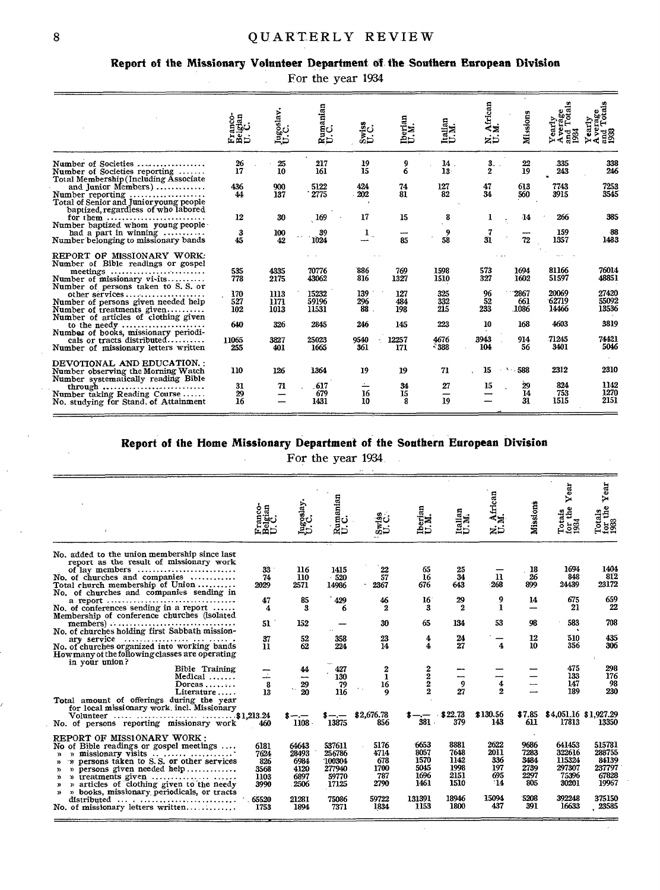#### **Report of the Missionary Volunteer Department of the Southern European Division**

|  |  | For the year 1934 |  |
|--|--|-------------------|--|
|--|--|-------------------|--|

|                                                                                                                                              | an<br>Franco-<br>Belgian<br>U. C. | Jugoslav.<br>U.C.    | Rumanian<br>U.C.        | Swiss<br>U.C.                | Iberian<br>U.M.   | Italian<br>U.M.        | African<br>M.<br>zö    | Missions                   |                         | $\frac{1}{6}$           |
|----------------------------------------------------------------------------------------------------------------------------------------------|-----------------------------------|----------------------|-------------------------|------------------------------|-------------------|------------------------|------------------------|----------------------------|-------------------------|-------------------------|
| Number of Societies<br>Number of Societies reporting<br>Total Membership (Including Associate                                                | 26<br>17                          | 25<br>10             | 217<br>161              | 19<br>$\overline{15}$        | $\frac{9}{6}$     | 14.<br>13 <sup>7</sup> | 3.<br>$\boldsymbol{2}$ | 22<br>19                   | 335<br>243              | 338<br>246              |
| and Junior Members)<br>Number reporting<br>Total of Senior and Junior young people<br>baptized, regardless of who labored                    | 436<br>44                         | 900<br>137           | 5122<br>2775            | 424<br>202                   | 74<br>81          | 127<br>82              | 47<br>34               | 613<br>560                 | 7743<br>3915            | 7253<br>3545            |
| for them $\ldots$                                                                                                                            | 12                                | 30                   | 169                     | 17                           | 15                | 8                      | 1                      | -14                        | 266                     | 385                     |
| Number baptized whom young people<br>had a part in winning $\ldots$<br>Number belonging to missionary bands                                  | 3<br>45                           | 100<br>42            | 39<br>1024              | 1                            | ----<br>85        | 9<br>58                | 7<br>31                | 72                         | 159<br>1357             | 88<br>1483              |
| REPORT OF MISSIONARY WORK:<br>Number of Bible readings or gospel                                                                             |                                   |                      |                         |                              |                   |                        |                        |                            |                         |                         |
| meetings<br>Number of missionary vi-its                                                                                                      | 535<br>778                        | 4335<br>2175         | 70776<br>43062          | 886<br>816                   | 769<br>1327       | 1598<br>1510           | 573<br>327             | 1694<br>1602               | 81166<br>51597          | 76014<br>48851          |
| Number of persons taken to S.S. or<br>other services<br>Number of persons given needed help<br>Number of treatments given                    | 170<br>527<br>102                 | 1113<br>1171<br>1013 | 15232<br>59196<br>11531 | 139<br>296<br>88             | 127<br>484<br>198 | 325<br>332<br>215      | 96<br>52<br>233        | 2867<br>661<br><b>1086</b> | 20069<br>62719<br>14466 | 27420<br>55092<br>13536 |
| Number of articles of clothing given<br>to the needy $\dots\dots\dots\dots\dots\dots\dots\dots\dots$<br>Number of books, missionary periodi- | 640                               | 326                  | 2845                    | 246                          | 145               | 223                    | 10                     | 168                        | 4603                    | 3819                    |
| cals or tracts distributed<br>Number of missionary letters written                                                                           | 11065<br>255                      | 3827<br>401          | 25023<br>1665           | 9540<br>361                  | 12257<br>171      | 4676<br>$-388$         | 3943<br>104            | 914<br>56                  | 71245<br>3401           | 74421<br>5046           |
| DEVOTIONAL AND EDUCATION.:<br>Number observing the Morning Watch                                                                             | 110                               | 126                  | 1364                    | 19                           | 19                | 71                     | 15                     | 588<br>Λ.                  | 2312                    | 2310                    |
| Number systematically reading Bible<br>through<br>Number taking Reading Course<br>No. studying for Stand. of Attainment                      | 31<br>29<br>16                    | 71                   | .617<br>679<br>1431     | $\leftharpoonup$<br>16<br>10 | 34<br>15<br>8     | 27<br>–<br>19          | 15                     | 29<br>14<br>31             | 824<br>753<br>1515      | 1142<br>1270<br>2151    |

### **Report of the Home Missionary Department of the Southern European Division**

i.

For the year 1934

| ខ ទ                                                          | Jugoslay.                                                       | Rumanian<br>U.C.                                                        | ∞⊶                                                          | Iberian<br>U.M.                                                |                                                               | African<br>.M.<br>ż₿                                     | Missions                                                   | ear<br>⊳<br>the<br>Totais<br>for the<br>1934                              | Year<br>Totals<br>for the<br>1988                                        |
|--------------------------------------------------------------|-----------------------------------------------------------------|-------------------------------------------------------------------------|-------------------------------------------------------------|----------------------------------------------------------------|---------------------------------------------------------------|----------------------------------------------------------|------------------------------------------------------------|---------------------------------------------------------------------------|--------------------------------------------------------------------------|
|                                                              |                                                                 |                                                                         |                                                             |                                                                |                                                               |                                                          |                                                            |                                                                           | 1404                                                                     |
| 74<br>2029                                                   | 110<br>2571                                                     | 520<br>14986                                                            | 2367                                                        | 16<br>676                                                      | 34<br>643                                                     | $\mathbf{u}$<br>268                                      | 26<br>899                                                  | 848<br>24439                                                              | 812<br>23172                                                             |
| 47<br>4                                                      | 85<br>3                                                         | 429<br>6                                                                | 46<br>2                                                     | 16<br>3                                                        | 29<br>2                                                       | 9<br>1                                                   | 14                                                         | 675<br>21                                                                 | 659<br>22                                                                |
| 51                                                           | 152                                                             |                                                                         | 30                                                          | 65                                                             | 134                                                           | 53                                                       | 98                                                         | 583<br>$\bullet$                                                          | 708                                                                      |
| 37<br>$\mathbf{u}$                                           | 52<br>62                                                        | 358<br>224                                                              | 23<br>14                                                    | 4<br>4                                                         | 24<br>27                                                      | 4                                                        | 12<br>10                                                   | 510<br>356                                                                | 435<br>306                                                               |
|                                                              | 44<br>-                                                         | 427<br>130                                                              | 2<br>1                                                      |                                                                |                                                               |                                                          |                                                            | 475<br>133                                                                | 298<br>176<br>98                                                         |
| 13                                                           | 20                                                              | 116                                                                     | 9                                                           |                                                                | 27                                                            | $\overline{2}$                                           |                                                            | 189                                                                       | 230                                                                      |
| \$1,213.24<br>460                                            | 1108                                                            | 13875                                                                   | \$2,676.78<br>856                                           | 381                                                            | \$22.73<br>379                                                | \$130.56<br>143                                          | \$7.85<br>611                                              | 17813                                                                     | \$4,051.16 \$1,927.29<br>13350                                           |
| 6181<br>7624<br>826<br>3568<br>1103<br>3990<br>65520<br>1753 | 64643<br>28493<br>6984<br>4120<br>6897<br>2506<br>21281<br>1894 | 537611<br>256786<br>100304<br>277940<br>59770<br>17125<br>75086<br>7371 | 5176<br>4714<br>678<br>1700<br>787<br>2790<br>59722<br>1834 | 6653<br>8057<br>1570<br>5045<br>1696<br>1461<br>131391<br>1153 | 8881<br>7648<br>1142<br>1998<br>2151<br>1510<br>18946<br>1800 | 2622<br>2011<br>336<br>197<br>695<br>-14<br>15094<br>437 | 9686<br>7283<br>3484<br>2739<br>2297<br>805<br>5208<br>391 | 641453<br>322616<br>115324<br>297307<br>75396<br>30201<br>392248<br>16633 | 515781<br>288755<br>84139<br>237797<br>67828<br>19967<br>375150<br>23585 |
|                                                              | 33<br>8                                                         | 116<br>29                                                               | 1415<br>79                                                  | $\frac{22}{57}$<br>16                                          | 65<br>$\begin{smallmatrix} 2\ 2\ 2\ 2 \end{smallmatrix}$      | 25<br>9                                                  | Italian<br>U.M.<br>4                                       | -18                                                                       | 1694<br>147                                                              |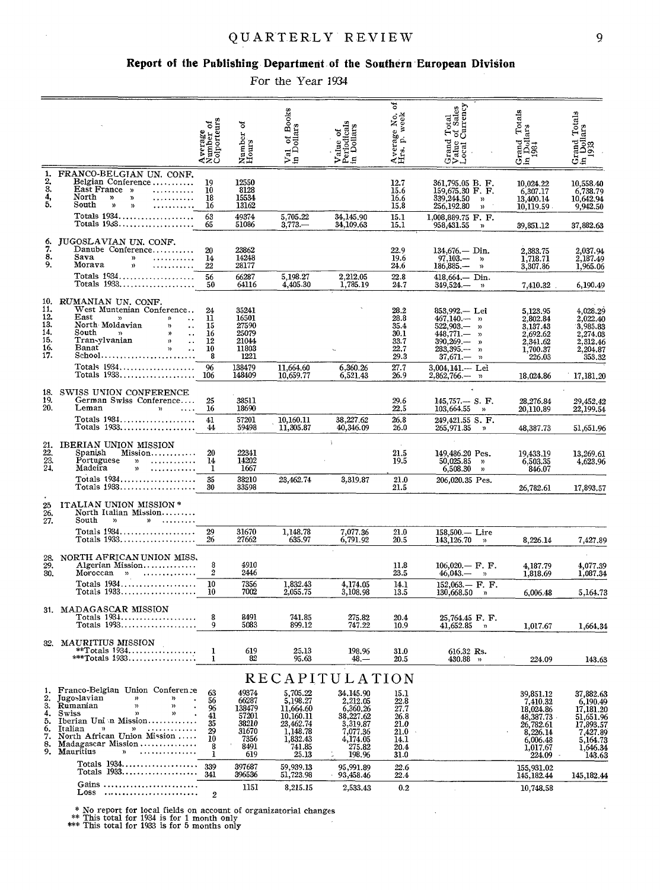### $\verb"QUARTERLY" REVIEW$

#### Report of the Publishing Department of the Southern European Division

For the Year 1934

|                                                                                             |                                                                                                                                                                                                                                                                                                                          | Average<br>Number of<br>Colporteurs              | ಕ<br>Number<br>Hours                                                       | Val of Books<br>in Dollars                                                                             | Vatue of<br>Periodicals<br>in Dollars                                                                  | ಕ<br>Average No.<br>Hrs. p. week                                     | l Total<br>of Sales<br>Currency<br>$\begin{array}{l} \mathbf{irand} \\ \mathbf{r}\mathbf{a} \mathbf{he} \\ \mathbf{ocal} \end{array} \text{,}$<br>ٽ<ڭ | Totals<br>Grand Tot<br>in Dollars<br>1984                                                                  | Grand Totals<br>in Dollars<br>1933                                                                         |
|---------------------------------------------------------------------------------------------|--------------------------------------------------------------------------------------------------------------------------------------------------------------------------------------------------------------------------------------------------------------------------------------------------------------------------|--------------------------------------------------|----------------------------------------------------------------------------|--------------------------------------------------------------------------------------------------------|--------------------------------------------------------------------------------------------------------|----------------------------------------------------------------------|-------------------------------------------------------------------------------------------------------------------------------------------------------|------------------------------------------------------------------------------------------------------------|------------------------------------------------------------------------------------------------------------|
| 1.<br>$\frac{2}{3}$<br>Ä,<br>5.                                                             | FRANCO-BELGIAN UN. CONF.<br>Belgian Conference<br>East France »<br>North<br>y)<br>$\mathbf{y}$<br>.<br>South<br>${\mathfrak y}$<br>.<br>${\mathfrak{p}}$                                                                                                                                                                 | 19<br>10<br>18<br>16                             | 12550<br>8128<br>15534<br>13162                                            |                                                                                                        |                                                                                                        | 12.7<br>15.6<br>16.6<br>15.8                                         | 361,795.05 B. F.<br>159,675.30 F. F.<br>339,244.50<br>$\mathcal{V}$<br>256,192.80<br>)                                                                | 10,024.22<br>6,307.17<br>13,400.14<br>10,119.59                                                            | 10,558.40<br>6,738.79<br>10,642.94<br>9,942.50                                                             |
|                                                                                             | Totals 1934<br>Totals 1933                                                                                                                                                                                                                                                                                               | 63<br>65                                         | 49374<br>51086                                                             | 5,705.22<br>$3,773-$                                                                                   | 34.145.90<br>34,109.63                                                                                 | 15.1<br>15.1                                                         | 1,008,889.75 F. F.<br>958,431.55<br>$\mathcal{Y}$                                                                                                     | 39,851.12                                                                                                  | 37,882.63                                                                                                  |
| 6.<br>$\frac{7}{8}$<br>9.                                                                   | JUGOSLAVIAN UN. CONF.<br>Danube Conference<br>Sava<br>.<br>$\boldsymbol{\mathfrak{d}}$<br>Moraya<br>.<br>$\mathfrak{p}$                                                                                                                                                                                                  | 20<br>14<br>22                                   | 23862<br>14248<br>28177                                                    |                                                                                                        |                                                                                                        | 22.9<br>19.6<br>24.6                                                 | $134,676 -$ Din.<br>$97,103$ $ \prime$<br>$186,885-$<br>$\mathcal{Y}$                                                                                 | 2,383.75<br>1,718.71<br>3,307.86                                                                           | 2.037.94<br>2,187.49<br>1,965.06                                                                           |
|                                                                                             | Totals $1934$<br>Totals 1933                                                                                                                                                                                                                                                                                             | 56<br>50                                         | 66287<br>64116                                                             | 5,198.27<br>4,405.30                                                                                   | 2,212.05<br>1,785.19                                                                                   | 22.8<br>24.7                                                         | 418,664.- Din.<br>$349,524-$<br>$\mathcal{Y}$                                                                                                         | 7,410.32                                                                                                   | 6,190.49                                                                                                   |
| 10.<br>11.<br>$\overline{12}$<br>13.<br>14.<br>15.<br>16.<br>17.                            | RUMANIAN UN. CONF.<br>West Muntenian Conference<br>East<br>$\mathcal{V}$<br>$\mathcal{V}$<br>North Moldavian<br>))<br>$\ddot{\phantom{a}}$<br>South<br>Y)<br>$\mathbf{D}$<br>$\ddot{\phantom{a}}$<br>Tran-ylvanian<br>$\boldsymbol{\mathfrak{p}}$<br>$\ddot{\phantom{a}}$<br>Banat<br>$\boldsymbol{\lambda}$<br>$School$ | 24<br>11<br>15<br>16<br>12<br>10<br>8            | 35241<br>16501<br>27590<br>25079<br>21044<br>11803<br>1221                 |                                                                                                        |                                                                                                        | 28.2<br>28.8<br>35.4<br>30.1<br>33.7<br>22.7<br>29.3                 | 853,992.- Lei<br>467.140.— »<br>$522,903 - w$<br>$448,771$ »<br>$390,269$ »<br>$283.395 - n$<br>$37,671-$<br>$\mathcal{D}$                            | 5,123.95<br>2,802.84<br>3,137.43<br>2,692.62<br>2,341.62<br>1,700.37<br>226.03                             | 4,028.29<br>2.022.40<br>3,985.83<br>2,274.03<br>2,312.46<br>2,204.87<br>353.32                             |
|                                                                                             | Totals 1934<br>Totals $1933$                                                                                                                                                                                                                                                                                             | 96<br>106                                        | 138479<br>148409                                                           | 11,664.60<br>10.659.77                                                                                 | 6,360.26<br>6.521.43                                                                                   | 27.7<br>26.9                                                         | 3,004,141.- Lei<br>$2,862,766$ »                                                                                                                      | 18,024.86                                                                                                  | 17, 181, 20                                                                                                |
| 18.<br>19.<br>20.                                                                           | SWISS UNION CONFERENCE<br>German Swiss Conference<br>Leman<br>$\lambda$                                                                                                                                                                                                                                                  | 25<br>16                                         | 38511<br>18690                                                             |                                                                                                        |                                                                                                        | 29.6<br>22,5                                                         | $145,757 - S.$ F.<br>103,664.55<br>$\mathcal{V}$                                                                                                      | 28,276.84<br>20,110,89                                                                                     | 29,452.42<br>22,199.54                                                                                     |
|                                                                                             | Totals $1934$<br>Totals 1933                                                                                                                                                                                                                                                                                             | 41<br>44                                         | 57201<br>59498                                                             | 10,160.11<br>11,305.87                                                                                 | 38,227.62<br>40,346.09                                                                                 | 26.8<br>26.0                                                         | 249,421.55 S. F.<br>265,971.35<br>$\mathfrak{D}$                                                                                                      | 48,387.73                                                                                                  | 51,651.96                                                                                                  |
| $\begin{array}{l} \textbf{21.} \\ \textbf{22.} \\ \textbf{23.} \\ \textbf{24.} \end{array}$ | <b>IBERIAN UNION MISSION</b><br>Spanish<br>Mission<br>Portuguese<br>Madeira<br>$\mathfrak{p}$<br>.                                                                                                                                                                                                                       | 20<br>14<br>1                                    | 22341<br>14202<br>1667                                                     |                                                                                                        |                                                                                                        | 21.5<br>19.5                                                         | 149,486.20 Pes.<br>50,025.85<br>))<br>6,508.30<br>))                                                                                                  | 19,433.19<br>6,503.35<br>846.07                                                                            | 13,269.61<br>4,623.96                                                                                      |
|                                                                                             | Totals 1934<br>Totals 1933                                                                                                                                                                                                                                                                                               | 35<br>30                                         | 38210<br>33598                                                             | 23,462.74                                                                                              | 3,319.87                                                                                               | 21.0<br>21.5                                                         | 206,020.35 Pes.                                                                                                                                       | 26,782.61                                                                                                  | 17,893.57                                                                                                  |
| $\frac{25}{26}$ .<br>27.                                                                    | ITALIAN UNION MISSION *<br>North Italian Mission<br>$y = 1, 1, 1, 1, 1, 1$<br>South<br>$\mathcal{D}$                                                                                                                                                                                                                     |                                                  |                                                                            |                                                                                                        |                                                                                                        |                                                                      |                                                                                                                                                       |                                                                                                            |                                                                                                            |
|                                                                                             | Totals 1934<br>Totals 1933                                                                                                                                                                                                                                                                                               | 29<br>26                                         | 31670<br>27662                                                             | 1,148.78<br>635.97                                                                                     | 7,077.36<br>6,791.92                                                                                   | 21.0<br>20.5                                                         | 158,500.- Lire<br>143,126.70<br>$\mathcal{V}$                                                                                                         | 8,226.14                                                                                                   | 7,427.89                                                                                                   |
| 28.<br>29.<br>30,                                                                           | NORTH AFRICAN UNION MISS,<br>Algerian Mission<br>$Moreover n \rightarrow \ldots \ldots$                                                                                                                                                                                                                                  | 8<br>$\boldsymbol{2}$                            | 4910<br>2446                                                               |                                                                                                        |                                                                                                        | 11.8<br>23.5                                                         | $106,020 - F. F.$<br>$46,043-$<br>$\mathcal{D}$                                                                                                       | 4,187.79<br>1,818.69                                                                                       | 4,077.39<br>1,087.34                                                                                       |
|                                                                                             | Totals $1934$<br>Totals 1933                                                                                                                                                                                                                                                                                             | 10<br>10                                         | 7356<br>7002                                                               | 1.832.43<br>2,055.75                                                                                   | 4,174.05<br>3,108.98                                                                                   | 14.1<br>13.5                                                         | $152,063 - F. F.$<br>130,668.50<br>${\mathfrak{d}}$                                                                                                   | 6,006.48                                                                                                   | 5,164.73                                                                                                   |
| 31.                                                                                         | MADAGASCAR MISSION<br>Totals $1934$<br>Totals 1933                                                                                                                                                                                                                                                                       | 8<br>9                                           | 8491<br>5083                                                               | 741.85<br>899.12                                                                                       | 275.82<br>747.22                                                                                       | 20.4<br>10.9                                                         | 25,764.45 F. F.<br>41,652.85<br>$\mathcal{D}$                                                                                                         | 1,017.67                                                                                                   | 1,664.34                                                                                                   |
|                                                                                             | 32. MAURITIUS MISSION<br>**Totals 1934<br>***Totals $1933$                                                                                                                                                                                                                                                               | 1<br>1                                           | 619<br>82                                                                  | 25.13<br>95.63                                                                                         | 198.96<br>$48 -$                                                                                       | 31.0<br>20.5                                                         | 616.32 Rs.<br>430.88 »                                                                                                                                | 224.09                                                                                                     | 143.63                                                                                                     |
|                                                                                             |                                                                                                                                                                                                                                                                                                                          |                                                  |                                                                            |                                                                                                        | RECAPITULATION                                                                                         |                                                                      |                                                                                                                                                       |                                                                                                            |                                                                                                            |
| 1.<br>2.<br>3.<br>4.<br>5.<br>6.<br>7.<br>8.<br>9.                                          | Franco-Belgian Union Conference<br>Jugoslavian<br>))<br>»<br>Rumanian<br>$\mathcal{V}$<br>У)<br>Swiss<br>$\boldsymbol{\mathfrak{d}}$<br>))<br>Iberian Uni n Mission<br>Italian<br>$y = 1, 1, 1, 1, 1, 1, 1, 1, 1$<br>$\mathcal{D}$<br>North African Union Mission<br>Madagascar Mission<br>Mauritius                     | 63<br>56<br>96<br>41<br>35<br>29<br>10<br>8<br>1 | 49374<br>66287<br>138479<br>57201<br>38210<br>31670<br>7356<br>8491<br>619 | 5,705.22<br>5,198.27<br>11,664.60<br>10,160.11<br>23,462.74<br>1,148.78<br>1,832.43<br>741.85<br>25.13 | 34.145.90<br>2,212.05<br>6,360.26<br>38,227.62<br>3,319.87<br>7,077.36<br>4,174.05<br>275.82<br>198.96 | 15.1<br>22.8<br>27.7<br>26.8<br>21.0<br>21.0<br>14.1<br>20.4<br>31.0 |                                                                                                                                                       | 39,851.12<br>7,410.32<br>18,024.86<br>48,387.73<br>26,782.61<br>8,226.14<br>6,006.48<br>1,017.67<br>224.09 | 37,882.63<br>6,190.49<br>17,181.20<br>51,651.96<br>17,893.57<br>7,427.89<br>5,164.73<br>1,646.34<br>143.63 |
|                                                                                             | Totals 1934<br>Totals $1933$                                                                                                                                                                                                                                                                                             | 339<br>341                                       | 397687<br>396536                                                           | 59,939.13<br>51,723.98                                                                                 | 95,991.89<br>93,458.46                                                                                 | 22.6<br>22.4                                                         |                                                                                                                                                       | 155,931.02<br>145,182.44                                                                                   | 145, 182. 44                                                                                               |
|                                                                                             | Gains<br>Loss                                                                                                                                                                                                                                                                                                            | $\mathbf{2}$                                     | 1151                                                                       | 8,215.15                                                                                               | 2,533.43                                                                                               | 0.2                                                                  |                                                                                                                                                       | 10,748.58                                                                                                  |                                                                                                            |

 $\bar{z}$ 

 $*$  No report for local fields on account of organizatorial changes  $**$  This total for 1934 is for 1 month only  $***$  This total for 1933 is for 5 months only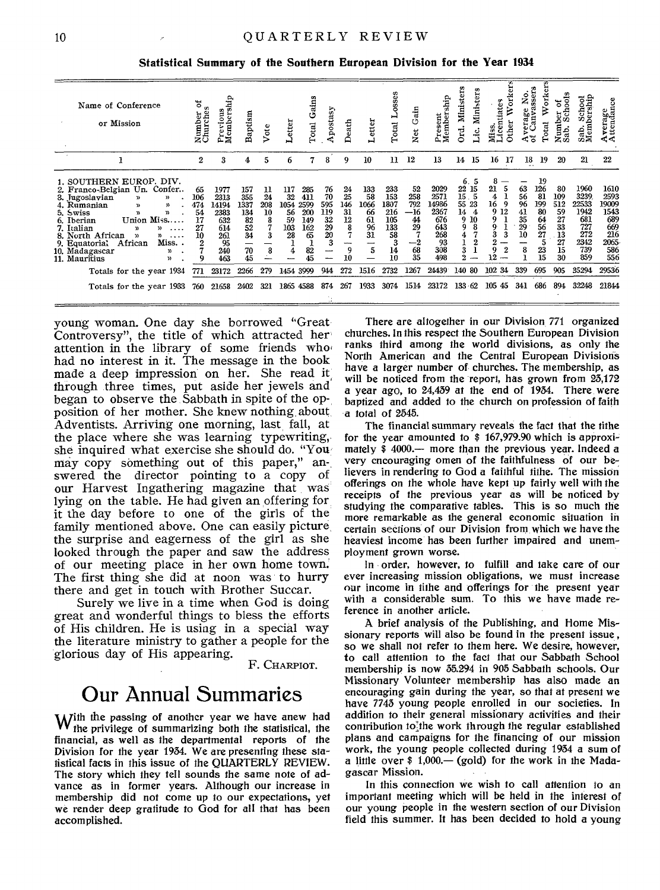Statistical Summary of the Southern European Division for the Year 1934

| Name of Conference<br>or Mission                                                                                                                                                                                                                                                                                                                                                              | ፝፝፝፝<br>à<br>Number<br>Churche                             | Members<br>ious<br>Ł.<br>ە<br>á.                                       | Baptism                                                          | Vote                                      | etter                                           | Gains<br>Total                                            | Apostasy                                             | Death                                       | Letter                                                | osses<br>⊶<br>Total                                       | Gain<br>ž                                                    | ship<br>Present<br>Members<br>Δ.                                       | Minist<br>$\overline{ }$<br>Mini<br>된<br>c                                         | w<br>Work<br>centiates<br><b>Other</b><br>9<br>ã.                    | No.<br>ssers<br>z<br>&g<br>Na<br>era<br>Can<br>⊲ະ | ō<br>Ě<br>ನ<br>an<br>Total                                                   | etoo.<br>៵<br>£<br>Number<br>Sab. Sch                      | Sab. School<br>Membership                                                | Average<br>Attendance                                                    |
|-----------------------------------------------------------------------------------------------------------------------------------------------------------------------------------------------------------------------------------------------------------------------------------------------------------------------------------------------------------------------------------------------|------------------------------------------------------------|------------------------------------------------------------------------|------------------------------------------------------------------|-------------------------------------------|-------------------------------------------------|-----------------------------------------------------------|------------------------------------------------------|---------------------------------------------|-------------------------------------------------------|-----------------------------------------------------------|--------------------------------------------------------------|------------------------------------------------------------------------|------------------------------------------------------------------------------------|----------------------------------------------------------------------|---------------------------------------------------|------------------------------------------------------------------------------|------------------------------------------------------------|--------------------------------------------------------------------------|--------------------------------------------------------------------------|
|                                                                                                                                                                                                                                                                                                                                                                                               | 2                                                          | 3                                                                      | 4                                                                | 5                                         | б                                               | 7                                                         | 8                                                    | 9                                           | 10                                                    | 11                                                        | 12                                                           | 13                                                                     | 14<br>15                                                                           | 16<br>17                                                             | 18<br>                                            | 19                                                                           | 20                                                         | 21                                                                       | 22                                                                       |
| 1. SOUTHERN EUROP. DIV.<br>2. Franco-Belgian Un. Confer<br>3. Jugoslavian<br>)<br>$\mathcal{D}$<br>4. Rumanian<br>y)<br>$\mathbf{v}$<br>5. Swiss<br>$\mathbf{v}$<br>n.<br>Union Miss<br>6. Iberian<br>7. Italian<br>$\mathcal{D}$<br>Y)<br>.<br>8. North African<br>$\mathfrak{p}$<br>$\cdots$<br>Miss<br>9. Equatorial<br>African<br>10. Madagascar<br>ν,<br>11. Mauritius<br>$\mathfrak{p}$ | 65<br>106<br>474<br>54<br>17<br>27<br>10<br>$\overline{2}$ | 1977<br>2313<br>14194<br>2383<br>632<br>614<br>261<br>95<br>240<br>463 | 157<br>355<br>1337<br>134<br>$\frac{82}{52}$<br>$34$<br>70<br>45 | 11<br>24<br>208<br>10<br>8<br>7<br>3<br>8 | 117<br>32<br>1054<br>56<br>59<br>103<br>28<br>4 | 285<br>411<br>2599<br>200<br>149<br>162<br>65<br>82<br>45 | 76<br>70<br>595<br>119<br>32<br>$\frac{29}{20}$<br>3 | 24<br>25<br>146<br>31<br>12<br>8<br>9<br>10 | 133<br>58<br>1066<br>66<br>61<br>$\frac{96}{31}$<br>5 | 233<br>153<br>1807<br>216<br>105<br>133<br>58<br>14<br>10 | 52<br>258<br>792<br>$-16$<br>44<br>29<br>$^{-2}$<br>68<br>35 | 2029<br>2571<br>14986<br>2367<br>676<br>643<br>268<br>93<br>308<br>498 | б.<br>5<br>22<br>15<br>15.<br>-5<br>55<br>23<br>14<br>4<br>9<br>10<br>9<br>3<br>9. | 8<br>21<br>4<br>16<br>9<br>9 12<br>9<br>g.<br>3<br>3<br>Q<br>2<br>12 | 63<br>56<br>96<br>41<br>35<br>29<br>10<br>8       | 19<br>126<br>81<br>199<br>80<br>64<br>56<br>$\overline{27}$<br>5<br>23<br>15 | 80<br>109<br>512<br>59<br>27<br>33<br>13<br>27<br>15<br>30 | 1960<br>3239<br>22533<br>1942<br>681<br>727<br>272<br>2342<br>739<br>859 | 1610<br>2593<br>19009<br>1543<br>689<br>669<br>216<br>2065<br>586<br>556 |
| Totals for the year 1934                                                                                                                                                                                                                                                                                                                                                                      | 771                                                        | 23172                                                                  | 2266                                                             | 279                                       | 1454                                            | 3999                                                      | 944                                                  | 272                                         | 1516                                                  | 2732                                                      | 1267                                                         | 24439                                                                  | -80<br>140                                                                         | 102 34                                                               | 339                                               | 695                                                                          | 905                                                        | 35294                                                                    | 29536                                                                    |
| Totals for the year 1933                                                                                                                                                                                                                                                                                                                                                                      | 760                                                        | 21658                                                                  | 2402                                                             | 321                                       | 1865                                            | 4588                                                      | 874                                                  | 267                                         | 1933                                                  | 3074                                                      | 1514                                                         | 23172                                                                  | 133.62                                                                             | 105<br>45                                                            | 341                                               | 686                                                                          | 894                                                        | 32248                                                                    | 21844                                                                    |

young woman. One day she borrowed "Great-Controversy", the title of which attracted her attention in the library of some friends who had no interest in it. The message in the book made a deep impression on her. She read it through three times, put aside her jewels and<br>began to observe the Sabbath in spite of the opposition of her mother. She knew nothing about Adventists. Arriving one morning, last fall, at the place where she was learning typewriting. she inquired what exercise she should do. "You may copy something out of this paper," answered the director pointing to a copy of our Harvest Ingathering magazine that was lying on the table. He had given an offering for it the day before to one of the girls of the family mentioned above. One can easily picture the surprise and eagerness of the girl as she looked through the paper and saw the address of our meeting place in her own home town. The first thing she did at noon was to hurry there and get in touch with Brother Succar.

Surely we live in a time when God is doing great and wonderful things to bless the efforts of His children. He is using in a special way the literature ministry to gather a people for the glorious day of His appearing.

F. CHARPIOT.

## Our Annual Summaries

With the passing of another year we have anew had<br>the privilege of summarizing both the statistical, the financial, as well as the departmental reports of the Division for the year 1934. We are presenting these stafistical facts in this issue of the QUARTERLY REVIEW. The story which they tell sounds the same note of advance as in former years. Although our increase in membership did not come up to our expectations, yet we render deep gratitude to God for all that has been accomplished.

There are altogether in our Division 771 organized churches. In this respect the Southern European Division ranks third among the world divisions, as only the North American and the Central European Divisions have a larger number of churches. The membership, as will be noticed from the report, has grown from 25,172 a year ago, to 24,439 at the end of 1934. There were baptized and added to the church on profession of faith a total of 2545.

The financial summary reveals the fact that the tithe for the year amounted to \$ 167,979.90 which is approximately \$4000.— more than the previous year. Indeed a very cncouraging omen of the faithfulness of our believers in rendering to God a faithful tithe. The mission offerings on the whole have kept up fairly well with the receipts of the previous year as will be noticed by studying the comparative tables. This is so much the more remarkable as the general economic situation in certain sections of our Division from which we have the heaviest income has been further impaired and unemployment grown worse.

In order, however, to fulfill and take care of our ever increasing mission obligations, we must increase our income in tithe and offerings for the present year with a considerable sum. To this we have made reference in another article.

A brief analysis of the Publishing, and Home Missionary reports will also be found in the present issue. so we shall not refer to them here. We desire, however, to call attention to the fact that our Sabbath School membership is now 35.294 in 905 Sabbath schools. Our Missionary Volunteer membership has also made an encouraging gain during the year, so that at present we have 7743 young people enrolled in our societies. In addition to their general missionary activities and their contribution to the work through the regular established plans and campaigns for the financing of our mission work, the young people collected during 1934 a sum of a little over  $$1,000$  – (gold) for the work in the Madagascar Mission.

In this connection we wish to call attention to an important meeting which will be held in the interest of our young people in the western section of our Division field this summer. It has been decided to hold a young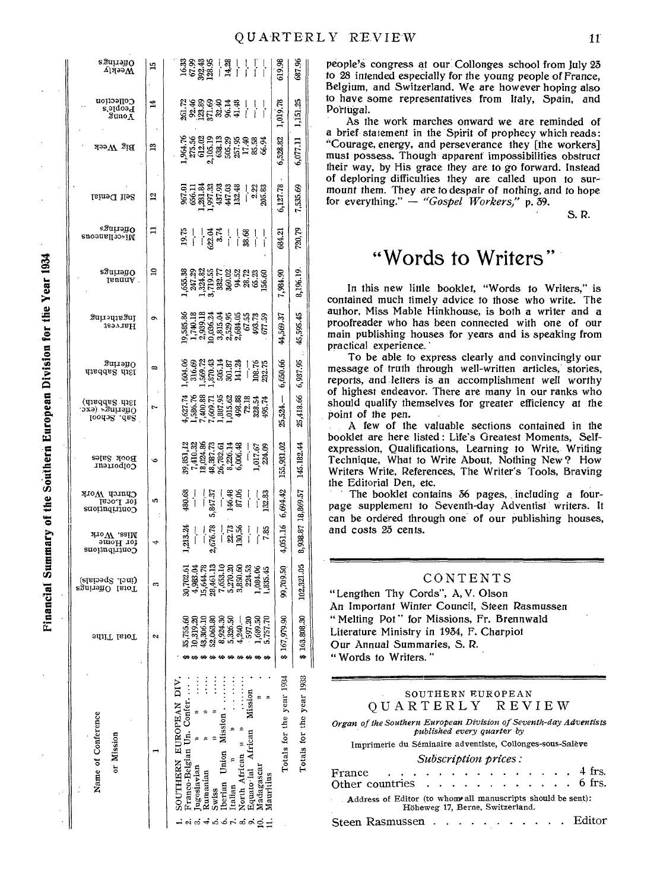687.96

 $\mathbb{S}^2$ 

1,151.2

6,077.11

7,535.69

Ŗ.

720.

 $8,196.19.$ 

45,595.45

 $95\,$ 

6,937.

25,418.66

145.182.44

8,938.87 18,869.57

102,321.05

163.808.30

 $\ddot{\phantom{0}}$ 

1933

year

**Totals** for the

s Juu ayo 619.98 ì9  $\tilde{M}$ eekly Collection 요 목 용 운 옥 크 욕 ㅣ ㅣ ㅣ<br>되 허 용 운 옥 크 욕 ㅣ ㅣ ㅣ<br>지 허 음 유 유 북 *ㅣ* ㅣ ㅣ 1,019.78  $\mathbf{1}$ Leobje.a<br>Aonus  $1,96,78$ <br> $8,56$ <br> $8,62,82$ <br> $8,62,83$ <br> $8,62,83$ <br> $8,75,83$ <br> $8,75,83$ <br> $8,75,83$ <br> $8,8,8,8$ <br> $8,8,8,8$ <br> $8,8,8,8$ 5,528.82  $\rm{Big}$  Week ഇ ក្ក<br>ខេត្ត អូន ខេត្ត ។ នា<br>ទី ខេត្ត ទី ភូមិ ភ្នំ ។ នាំ ខេ 6,127.78 Self Denial  $\overline{a}$ egariañ O  $\Box$ 684.21  $\frac{1}{38}$  $3.74$  $\frac{1}{1}$ Miscellaneous  $\mathbf{a}$ 85.38<br>247.39 55.71 53.82 54.83<br>35.71 53.82 54.83 65.63<br>36.71 54.83 65.71 65.71 egnironO 7,984.90 IsunnA.  $\begin{array}{l} 19,595.66\\ 1,740.18\\ 2,939.18\\ 10,036.24\\ 3,635.63\\ 4,639.64\\ 5,639.64\\ 6,739.32\\ 6,64.65\\ 6,7,73\\ 6,7,73\\ 6,7,73\\ 6,77.59\\ \hline \end{array}$  $\tilde{\mathfrak{g}}$ gationisgnl  $\sigma$ 44,569. 1Saa 18H  $\begin{array}{l} 84.68 \\ 63.62 \\ 16.63 \\ 16.64 \\ 16.65 \\ 16.66 \\ 16.67 \\ 16.67 \\ 16.68 \\ 16.67 \\ 16.67 \\ 16.67 \\ 16.67 \\ 16.67 \\ 16.67 \\ 16.67 \\ 16.67 \\ 16.67 \\ 16.67 \\ 16.67 \\ 16.67 \\ 16.67 \\ 16.67 \\ 16.67 \\ 16.67 \\ 16.67 \\ 16.67 \\ 16.67 \\ 16.67 \\ 16.67 \\ 16$  $301190$ 6,650.66  $\infty$ diadak dist  $4,627.74$ <br> $7,386.76$ <br> $7,400.81$ <br> $7,600.71$ <br> $7,600.71$ <br> $8,60.71$ <br> $8,60.74$ <br> $8,80.74$ <br> $8,80.74$ <br> $8,80.74$ <br> $8,80.74$  $25,524-$ Sth Sabbath)<br>Offerings (exc.<br>Offerings (exc.  $\mathbf{r}$  $\begin{array}{l} 39, 851, 12\\ 7, 410, 32\\ 13, 024, 86\\ 49, 387, 73\\ 6, 326, 14\\ 6, 006, 48\\ 6, 006, 40\\ 1, 017, 67\\ 1, 017, 67\\ \end{array}$ 155,931.02 ROOK 29162  $\ddot{\bullet}$ conporteur Contributions<br>for Local<br>Contributions  $-48$ <br>146.48<br>87.06  $5,847.37$  $\frac{-}{132.83}$ 6,694.42 in.  $2,676.78$  $-2.73$ <br>130,56  $4,051.16$ ,213.24  $7.85$  $\begin{array}{ll} \mbox{Miss.}\ \mbox{Work} \\ \mbox{for Homem} \\ \mbox{Contribution} \end{array}$ پ  $\begin{array}{l} 39,702.61\\ 4,988.04\\ 4,964.78\\ 23,464.13\\ 7,653.10\\ 6,303.06\\ 6,303.06\\ 224.53\\ 1,084.06\\ 1,084.06\\ 1,085.45\\ 1,085.45 \end{array}$ 99,709.50 (incl. Specials)<br>Total Offerings e.  $35,755.30$   $35,95.30$   $35,95.30$   $35,95.30$   $35,95.30$   $35,95.30$   $35,95.30$   $35,95.30$   $35,95.30$   $35,95.30$   $35,75.70$ 167,979.90 Total Tithe  $\sim$ .<br>ده year 1934 DIV.  $\frac{1}{2}$  $\vdots$  $\frac{1}{2}$  $\ddot{\ddot{\cdot}}$  $Mission$  $\frac{1}{2}$  $\vdots$  $\frac{1}{2}$ Un. Conter. **EUROPEAN**  $\approx$   $\approx$  $\sim$ Mission Name of Conference Totals for the  $\begin{tabular}{l|c} SOUTHRIN EUROP\\ \hline \textbf{Franco-Belgian Un.} \\ \textbf{Dugoslaxian} \\ \textbf{Rumanian} \\ \textbf{Rumanian} \\ \textbf{Derina Unon Missi} \\ \textbf{Derian Unon Missi} \\ \textbf{Malmoial Atrican} \\ \textbf{Mqawoi al. Atrican} \\ \textbf{Mqawoi al.} \\ \textbf{Mardius} \\ \textbf{Maur  
Uus} \\ \textbf{Maur  
Uus} \\ \textbf{Maur  
Uus} \\ \textbf{Maur  
Uus} \\ \textbf{Maur  
Uus} \\ \textbf{Maur  
U$ Mission ă ⊣் ஸ் ீச்மிம் ⊢் பீ பீ பீ பி

Financial Summary of the Southern European Division for the Year 1934

people's congress at our Collonges school from July 25 to 28 intended especially for the young people of France, Belgium, and Switzerland. We are however hoping also to have some representatives from Italy, Spain, and Portugal.

As the work marches onward we are reminded of a brief statement in the Spirit of prophecy which reads: "Courage, energy, and perseverance they [the workers] must possess. Though apparent impossibilities obstruct their way, by His grace they are to go forward. Instead of deploring difficulties they are called upon to surmount them. They are to despair of nothing, and to hope for everything."  $-$  "Gospel Workers," p. 39.

 $S.R.$ 

## "Words to Writers"

In this new little booklet, "Words to Writers," is contained much timely advice to those who write. The author, Miss Mable Hinkhouse, is both a writer and a proofreader who has been connected with one of our main publishing houses for years and is speaking from practical experience.

To be able to express clearly and convincingly our message of truth through well-written articles, stories, reports, and letters is an accomplishment well worthy of highest endeavor. There are many in our ranks who should qualify themselves for greater efficiency at the point of the pen.

A few of the valuable sections contained in the booklet are here listed : Life's Greatest Moments. Selfexpression, Qualifications, Learning to Write, Writing Technique, What to Write About, Nothing New? How Writers Write, References, The Writer's Tools, Braving the Editorial Den, etc.

The booklet contains 56 pages, including a fourpage supplement to Seventh-day Adventist writers. It can be ordered through one of our publishing houses, and costs 25 cents.

#### CONTENTS

"Lengthen Thy Cords", A, V. Olson An Important Winter Council, Steen Rasmussen "Melting Pot" for Missions, Fr. Brennwald Literature Ministry in 1934, F. Charpiot Our Annual Summaries, S. R. " Words to Writers."

#### SOUTHERN EUROPEAN OUARTERLY REVIEW

Organ of the Southern European Division of Seventh-day Adventists<br>published every quarter by

Imprimerie du Séminaire adventiste, Collonges-sous-Salève

#### Subscription prices:

| France $\ldots$ 4 frs.<br>Other countries $\ldots$ $\ldots$ $\ldots$ $\ldots$ $\ldots$ 6 frs.  |  |  |  |  |  |  |  |
|------------------------------------------------------------------------------------------------|--|--|--|--|--|--|--|
| Address of Editor (to whom all manuscripts should be sent):<br>Höheweg 17, Berne, Switzerland. |  |  |  |  |  |  |  |
| Steen Rasmussen Editor                                                                         |  |  |  |  |  |  |  |